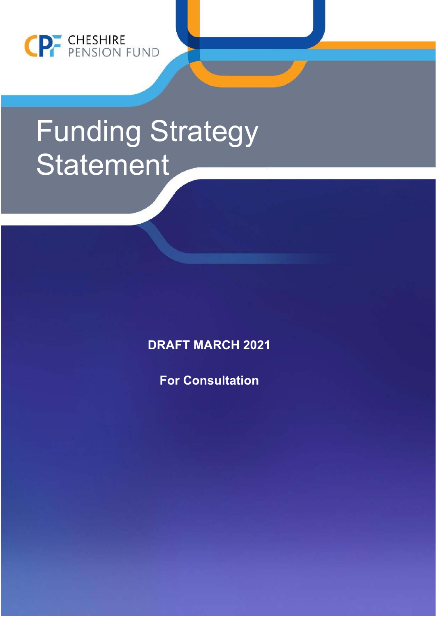

# Funding Strategy **Statement**

**DRAFT MARCH 2021** 

**For Consultation**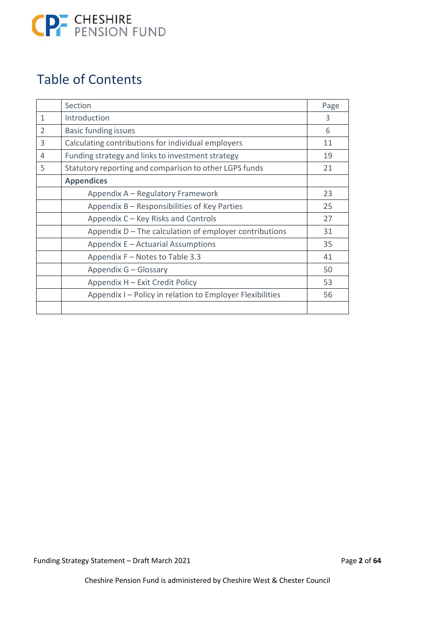

### Table of Contents

|                | Section                                                   | Page |
|----------------|-----------------------------------------------------------|------|
| 1              | Introduction                                              | 3    |
| $\overline{2}$ | <b>Basic funding issues</b>                               | 6    |
| 3              | Calculating contributions for individual employers        | 11   |
| 4              | Funding strategy and links to investment strategy         | 19   |
| 5              | Statutory reporting and comparison to other LGPS funds    | 21   |
|                | <b>Appendices</b>                                         |      |
|                | Appendix A - Regulatory Framework                         | 23   |
|                | Appendix B – Responsibilities of Key Parties              | 25   |
|                | Appendix C – Key Risks and Controls                       | 27   |
|                | Appendix $D$ – The calculation of employer contributions  | 31   |
|                | Appendix E - Actuarial Assumptions                        | 35   |
|                | Appendix F - Notes to Table 3.3                           | 41   |
|                | Appendix G - Glossary                                     | 50   |
|                | Appendix H - Exit Credit Policy                           | 53   |
|                | Appendix I - Policy in relation to Employer Flexibilities | 56   |
|                |                                                           |      |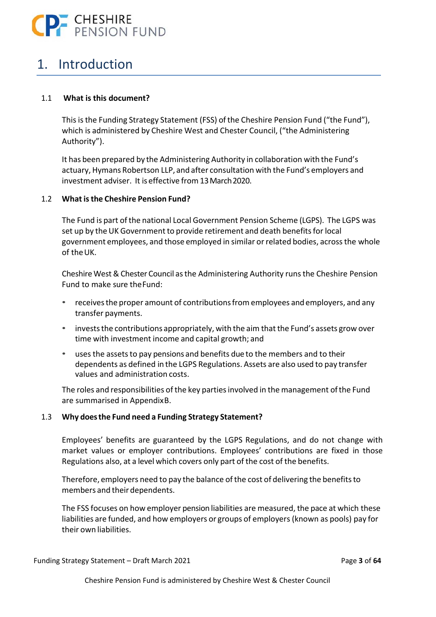

### 1. Introduction

### 1.1 **What is this document?**

This is the Funding Strategy Statement (FSS) of the Cheshire Pension Fund ("the Fund"), which is administered by Cheshire West and Chester Council, ("the Administering Authority").

It has been prepared by the Administering Authority in collaboration with the Fund's actuary, Hymans Robertson LLP, and after consultation with the Fund's employers and investment adviser. It is effective from 13 March 2020.

### 1.2 **What is the Cheshire Pension Fund?**

The Fund is part of the national Local Government Pension Scheme (LGPS). The LGPS was set up by the UK Government to provide retirement and death benefits for local government employees, and those employed in similar or related bodies, across the whole of the UK.

Cheshire West & Chester Council as the Administering Authority runs the Cheshire Pension Fund to make sure the Fund:

- receives the proper amount of contributions from employees and employers, and any transfer payments.
- invests the contributions appropriately, with the aim that the Fund's assets grow over time with investment income and capital growth; and
- uses the assets to pay pensions and benefits due to the members and to their dependents as defined in the LGPS Regulations. Assets are also used to pay transfer values and administration costs.

The roles and responsibilities of the key parties involved in the management of the Fund are summarised in Appendix B.

### 1.3 **Why does the Fund need a Funding Strategy Statement?**

Employees' benefits are guaranteed by the LGPS Regulations, and do not change with market values or employer contributions. Employees' contributions are fixed in those Regulations also, at a level which covers only part of the cost of the benefits.

Therefore, employers need to pay the balance of the cost of delivering the benefits to members and their dependents.

The FSS focuses on how employer pension liabilities are measured, the pace at which these liabilities are funded, and how employers or groups of employers (known as pools) pay for their own liabilities.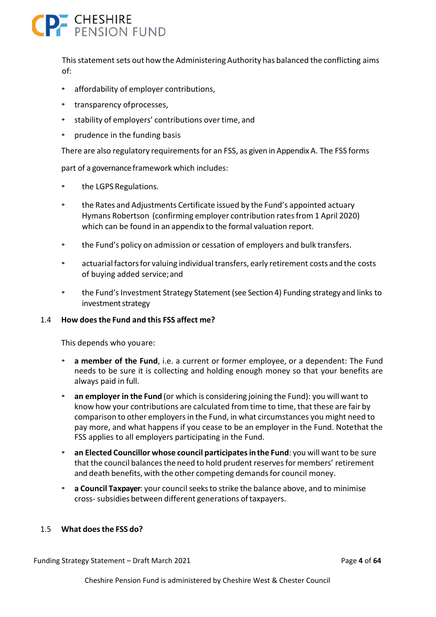# **P.** CHESHIRE

This statement sets out how the Administering Authority has balanced the conflicting aims of:

- affordability of employer contributions,
- transparency of processes,
- stability of employers' contributions over time, and
- prudence in the funding basis

There are also regulatory requirements for an FSS, as given in Appendix A. The FSS forms

part of a governance framework which includes:

- the LGPS Regulations.
- the Rates and Adjustments Certificate issued by the Fund's appointed actuary Hymans Robertson (confirming employer contribution rates from 1 April 2020) which can be found in an appendix to the formal valuation report.
- the Fund's policy on admission or cessation of employers and bulk transfers.
- actuarial factors for valuing individual transfers, early retirement costs and the costs of buying added service; and
- the Fund's Investment Strategy Statement (see Section 4) Funding strategy and links to investment strategy

### 1.4 **How does the Fund and this FSS affect me?**

This depends who you are:

- **a member of the Fund**, i.e. a current or former employee, or a dependent: The Fund needs to be sure it is collecting and holding enough money so that your benefits are always paid in full.
- **an employer in the Fund** (or which is considering joining the Fund): you will want to know how your contributions are calculated from time to time, that these are fair by comparison to other employers in the Fund, in what circumstances you might need to pay more, and what happens if you cease to be an employer in the Fund. Note that the FSS applies to all employers participating in the Fund.
- **an Elected Councillor whose council participates in the Fund**: you will want to be sure that the council balances the need to hold prudent reserves for members' retirement and death benefits, with the other competing demands for council money.
- **a Council Taxpayer**: your council seeks to strike the balance above, and to minimise cross‐ subsidies between different generations of taxpayers.

### 1.5 **What does the FSS do?**

Funding Strategy Statement – Draft March 2021 Page **4** of **64**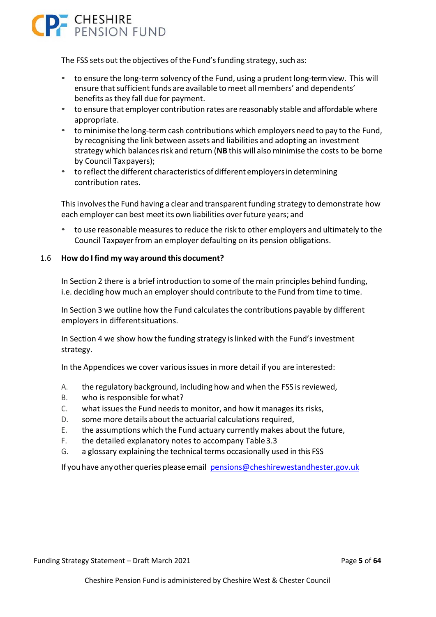

The FSS sets out the objectives of the Fund's funding strategy, such as:

- to ensure the long‐term solvency of the Fund, using a prudent long‐term view. This will ensure that sufficient funds are available to meet all members' and dependents' benefits as they fall due for payment.
- to ensure that employer contribution rates are reasonably stable and affordable where appropriate.
- to minimise the long-term cash contributions which employers need to pay to the Fund, by recognising the link between assets and liabilities and adopting an investment strategy which balances risk and return (**NB** this will also minimise the costs to be borne by Council Tax payers);
- to reflect the different characteristics of different employers in determining contribution rates.

This involves the Fund having a clear and transparent funding strategy to demonstrate how each employer can best meet its own liabilities over future years; and

• to use reasonable measures to reduce the risk to other employers and ultimately to the Council Taxpayer from an employer defaulting on its pension obligations.

### 1.6 **How do I find my way around this document?**

In Section 2 there is a brief introduction to some of the main principles behind funding, i.e. deciding how much an employer should contribute to the Fund from time to time.

In Section 3 we outline how the Fund calculates the contributions payable by different employers in different situations.

In Section 4 we show how the funding strategy is linked with the Fund's investment strategy.

In the Appendices we cover various issues in more detail if you are interested:

- A. the regulatory background, including how and when the FSS is reviewed,
- B. who is responsible for what?
- C. what issues the Fund needs to monitor, and how it manages its risks,
- D. some more details about the actuarial calculations required,
- E. the assumptions which the Fund actuary currently makes about the future,
- F. the detailed explanatory notes to accompany Table 3.3
- G. a glossary explaining the technical terms occasionally used in this FSS

If you have any other queries please email pensions@cheshirewestandhester.gov.uk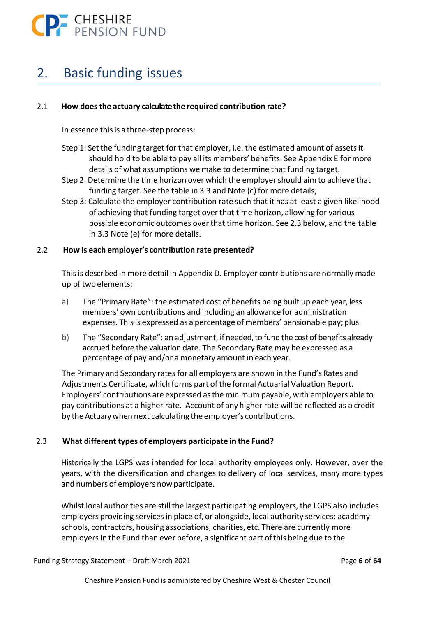

### 2. Basic funding issues

### 2.1 **How does the actuary calculate the required contribution rate?**

In essence this is a three‐step process:

- Step 1: Set the funding target for that employer, i.e. the estimated amount of assets it should hold to be able to pay all its members' benefits. See Appendix E for more details of what assumptions we make to determine that funding target.
- Step 2: Determine the time horizon over which the employer should aim to achieve that funding target. See the table in 3.3 and Note (c) for more details;
- Step 3: Calculate the employer contribution rate such that it has at least a given likelihood of achieving that funding target over that time horizon, allowing for various possible economic outcomes over that time horizon. See 2.3 below, and the table in 3.3 Note (e) for more details.

### 2.2 **How is each employer's contribution rate presented?**

This is described in more detail in Appendix D. Employer contributions are normally made up of two elements:

- a) The "Primary Rate": the estimated cost of benefits being built up each year, less members' own contributions and including an allowance for administration expenses. This is expressed as a percentage of members' pensionable pay; plus
- b) The "Secondary Rate": an adjustment, if needed, to fund the cost of benefits already accrued before the valuation date. The Secondary Rate may be expressed as a percentage of pay and/or a monetary amount in each year.

The Primary and Secondary rates for all employers are shown in the Fund's Rates and Adjustments Certificate, which forms part of the formal Actuarial Valuation Report. Employers' contributions are expressed as the minimum payable, with employers able to pay contributions at a higher rate. Account of any higher rate will be reflected as a credit by the Actuary when next calculating the employer's contributions.

### 2.3 **What different types of employers participate in the Fund?**

Historically the LGPS was intended for local authority employees only. However, over the years, with the diversification and changes to delivery of local services, many more types and numbers of employers now participate.

Whilst local authorities are still the largest participating employers, the LGPS also includes employers providing services in place of, or alongside, local authority services: academy schools, contractors, housing associations, charities, etc. There are currently more employers in the Fund than ever before, a significant part of this being due to the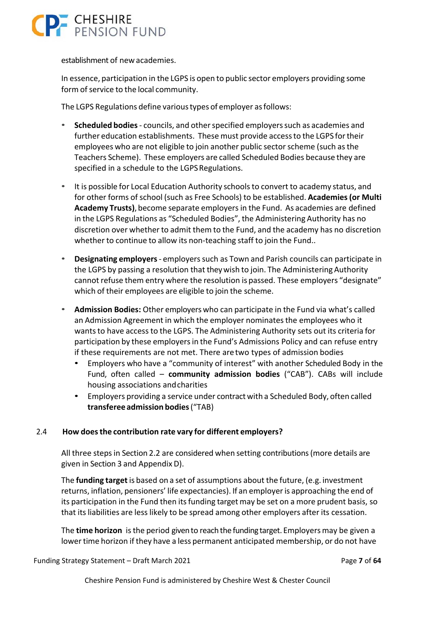

establishment of new academies.

In essence, participation in the LGPS is open to public sector employers providing some form of service to the local community.

The LGPS Regulations define various types of employer as follows:

- **Scheduled bodies** ‐ councils, and other specified employers such as academies and further education establishments. These must provide access to the LGPS for their employees who are not eligible to join another public sector scheme (such as the Teachers Scheme). These employers are called Scheduled Bodies because they are specified in a schedule to the LGPS Regulations.
- It is possible for Local Education Authority schools to convert to academy status, and for other forms of school (such as Free Schools) to be established. **Academies (or Multi Academy Trusts)**, become separate employers in the Fund. As academies are defined in the LGPS Regulations as "Scheduled Bodies", the Administering Authority has no discretion over whether to admit them to the Fund, and the academy has no discretion whether to continue to allow its non-teaching staff to join the Fund..
- **Designating employers** ‐ employers such as Town and Parish councils can participate in the LGPS by passing a resolution that they wish to join. The Administering Authority cannot refuse them entry where the resolution is passed. These employers "designate" which of their employees are eligible to join the scheme.
- **Admission Bodies:** Other employers who can participate in the Fund via what's called an Admission Agreement in which the employer nominates the employees who it wants to have access to the LGPS. The Administering Authority sets out its criteria for participation by these employers in the Fund's Admissions Policy and can refuse entry if these requirements are not met. There are two types of admission bodies
	- Employers who have a "community of interest" with another Scheduled Body in the Fund, often called – **community admission bodies**  ("CAB"). CABs will include housing associations and charities
	- Employers providing a service under contract with a Scheduled Body, often called **transferee admission bodies** ("TAB)

### 2.4 **How does the contribution rate vary for different employers?**

All three steps in Section 2.2 are considered when setting contributions (more details are given in Section 3 and Appendix D).

The **funding target** is based on a set of assumptions about the future, (e.g. investment returns, inflation, pensioners' life expectancies). If an employer is approaching the end of its participation in the Fund then its funding target may be set on a more prudent basis, so that its liabilities are less likely to be spread among other employers after its cessation.

The **time horizon**  is the period given to reach the funding target. Employers may be given a lower time horizon if they have a less permanent anticipated membership, or do not have

Funding Strategy Statement – Draft March 2021 Page **7** of **64**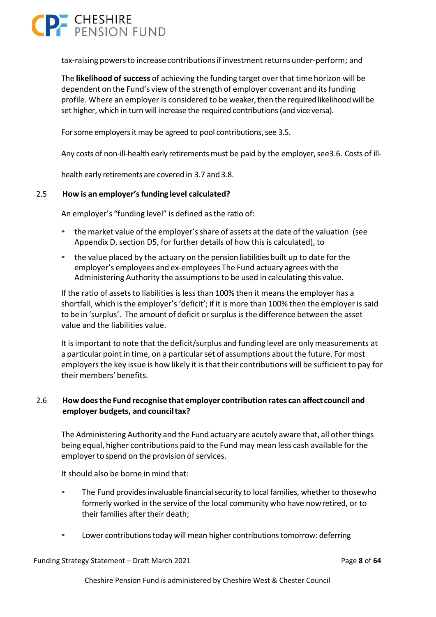### **P** CHESHIRE

tax‐raising powers to increase contributions if investment returns under‐perform; and

The **likelihood of success** of achieving the funding target over that time horizon will be dependent on the Fund's view of the strength of employer covenant and its funding profile. Where an employer is considered to be weaker, then the required likelihood will be set higher, which in turn will increase the required contributions (and vice versa).

For some employers it may be agreed to pool contributions, see 3.5.

Any costs of non-ill-health early retirements must be paid by the employer, see3.6. Costs of ill-

health early retirements are covered in 3.7 and 3.8.

### 2.5 **How is an employer's funding level calculated?**

An employer's "funding level" is defined as the ratio of:

- the market value of the employer's share of assets at the date of the valuation (see Appendix D, section D5, for further details of how this is calculated), to
- the value placed by the actuary on the pension liabilities built up to date for the employer's employees and ex‐employees The Fund actuary agrees with the Administering Authority the assumptions to be used in calculating this value.

If the ratio of assets to liabilities is less than 100% then it means the employer has a shortfall, which is the employer's 'deficit'; if it is more than 100% then the employer is said to be in 'surplus'. The amount of deficit or surplus is the difference between the asset value and the liabilities value.

It is important to note that the deficit/surplus and funding level are only measurements at a particular point in time, on a particular set of assumptions about the future. For most employers the key issue is how likely it is that their contributions will be sufficient to pay for their members' benefits.

### 2.6 **How does the Fund recognise that employer contribution rates can affect council and employer budgets, and council tax?**

The Administering Authority and the Fund actuary are acutely aware that, all other things being equal, higher contributions paid to the Fund may mean less cash available for the employer to spend on the provision of services.

It should also be borne in mind that:

- The Fund provides invaluable financial security to local families, whether to thosewho formerly worked in the service of the local community who have now retired, or to their families after their death;
- Lower contributions today will mean higher contributions tomorrow: deferring

Funding Strategy Statement – Draft March 2021 Page **8** of **64**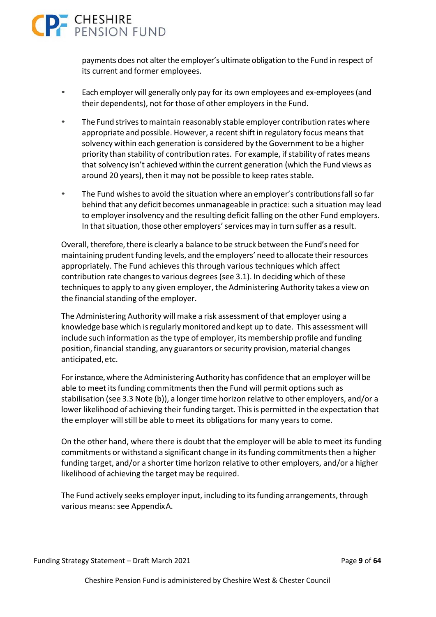

payments does not alter the employer's ultimate obligation to the Fund in respect of its current and former employees.

- Each employer will generally only pay for its own employees and ex‐employees (and their dependents), not for those of other employers in the Fund.
- The Fund strives to maintain reasonably stable employer contribution rates where appropriate and possible. However, a recent shift in regulatory focus means that solvency within each generation is considered by the Government to be a higher priority than stability of contribution rates. For example, if stability of rates means that solvency isn't achieved within the current generation (which the Fund views as around 20 years), then it may not be possible to keep rates stable.
- The Fund wishes to avoid the situation where an employer's contributions fall so far behind that any deficit becomes unmanageable in practice: such a situation may lead to employer insolvency and the resulting deficit falling on the other Fund employers. In that situation, those other employers' services may in turn suffer as a result.

Overall, therefore, there is clearly a balance to be struck between the Fund's need for maintaining prudent funding levels, and the employers' need to allocate their resources appropriately. The Fund achieves this through various techniques which affect contribution rate changes to various degrees (see 3.1). In deciding which of these techniques to apply to any given employer, the Administering Authority takes a view on the financial standing of the employer.

The Administering Authority will make a risk assessment of that employer using a knowledge base which is regularly monitored and kept up to date. This assessment will include such information as the type of employer, its membership profile and funding position, financial standing, any guarantors or security provision, material changes anticipated, etc.

For instance, where the Administering Authority has confidence that an employer will be able to meet its funding commitments then the Fund will permit options such as stabilisation (see 3.3 Note (b)), a longer time horizon relative to other employers, and/or a lower likelihood of achieving their funding target. This is permitted in the expectation that the employer will still be able to meet its obligations for many years to come.

On the other hand, where there is doubt that the employer will be able to meet its funding commitments or withstand a significant change in its funding commitments then a higher funding target, and/or a shorter time horizon relative to other employers, and/or a higher likelihood of achieving the target may be required.

The Fund actively seeks employer input, including to its funding arrangements, through various means: see Appendix A.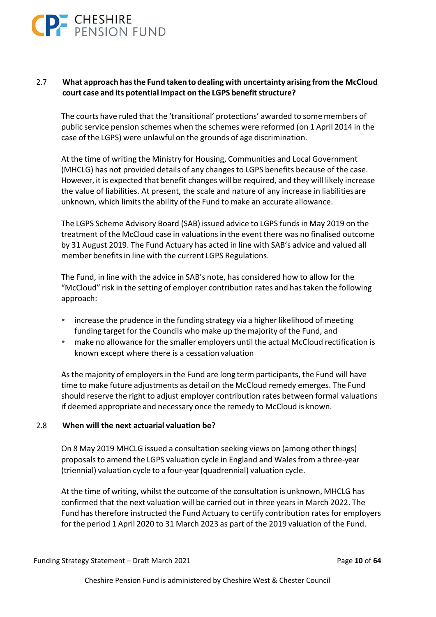

### 2.7 **What approach has the Fund taken to dealing with uncertainty arising from the McCloud court case and its potential impact on the LGPS benefit structure?**

The courts have ruled that the 'transitional' protections' awarded to some members of public service pension schemes when the schemes were reformed (on 1 April 2014 in the case of the LGPS) were unlawful on the grounds of age discrimination.

At the time of writing the Ministry for Housing, Communities and Local Government (MHCLG) has not provided details of any changes to LGPS benefits because of the case. However, it is expected that benefit changes will be required, and they will likely increase the value of liabilities. At present, the scale and nature of any increase in liabilities are unknown, which limits the ability of the Fund to make an accurate allowance.

The LGPS Scheme Advisory Board (SAB) issued advice to LGPS funds in May 2019 on the treatment of the McCloud case in valuations in the event there was no finalised outcome by 31 August 2019. The Fund Actuary has acted in line with SAB's advice and valued all member benefits in line with the current LGPS Regulations.

The Fund, in line with the advice in SAB's note, has considered how to allow for the "McCloud" risk in the setting of employer contribution rates and has taken the following approach:

- increase the prudence in the funding strategy via a higher likelihood of meeting funding target for the Councils who make up the majority of the Fund, and
- make no allowance for the smaller employers until the actual McCloud rectification is known except where there is a cessation valuation

As the majority of employers in the Fund are long term participants, the Fund will have time to make future adjustments as detail on the McCloud remedy emerges. The Fund should reserve the right to adjust employer contribution rates between formal valuations if deemed appropriate and necessary once the remedy to McCloud is known.

### 2.8 **When will the next actuarial valuation be?**

On 8 May 2019 MHCLG issued a consultation seeking views on (among other things) proposals to amend the LGPS valuation cycle in England and Wales from a three‐year (triennial) valuation cycle to a four‐year (quadrennial) valuation cycle.

At the time of writing, whilst the outcome of the consultation is unknown, MHCLG has confirmed that the next valuation will be carried out in three years in March 2022. The Fund has therefore instructed the Fund Actuary to certify contribution rates for employers for the period 1 April 2020 to 31 March 2023 as part of the 2019 valuation of the Fund.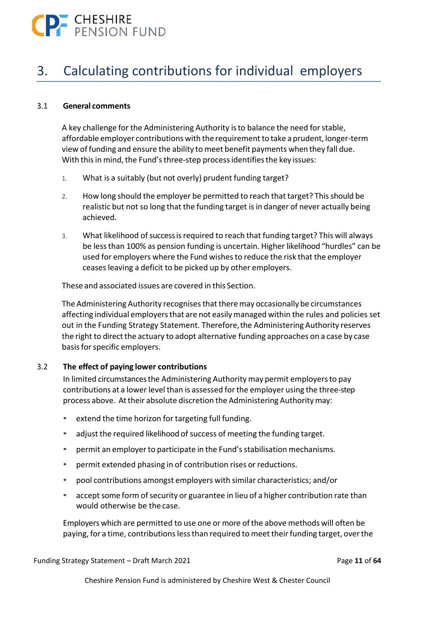

### 3. Calculating contributions for individual employers

### 3.1 **General comments**

A key challenge for the Administering Authority is to balance the need for stable, affordable employer contributions with the requirement to take a prudent, longer‐term view of funding and ensure the ability to meet benefit payments when they fall due. With this in mind, the Fund's three-step process identifies the key issues:

- 1. What is a suitably (but not overly) prudent funding target?
- 2. How long should the employer be permitted to reach that target? This should be realistic but not so long that the funding target is in danger of never actually being achieved.
- 3. What likelihood of success is required to reach that funding target? This will always be less than 100% as pension funding is uncertain. Higher likelihood "hurdles" can be used for employers where the Fund wishes to reduce the risk that the employer ceases leaving a deficit to be picked up by other employers.

These and associated issues are covered in this Section.

The Administering Authority recognises that there may occasionally be circumstances affecting individual employers that are not easily managed within the rules and policies set out in the Funding Strategy Statement. Therefore, the Administering Authority reserves the right to direct the actuary to adopt alternative funding approaches on a case by case basis for specific employers.

### 3.2 **The effect of paying lower contributions**

In limited circumstances the Administering Authority may permit employers to pay contributions at a lower level than is assessed for the employer using the three‐step process above. At their absolute discretion the Administering Authority may:

- extend the time horizon for targeting full funding.
- adjust the required likelihood of success of meeting the funding target.
- permit an employer to participate in the Fund's stabilisation mechanisms.
- permit extended phasing in of contribution rises or reductions.
- pool contributions amongst employers with similar characteristics; and/or
- accept some form of security or guarantee in lieu of a higher contribution rate than would otherwise be the case.

Employers which are permitted to use one or more of the above methods will often be paying, for a time, contributions less than required to meet their funding target, over the

Funding Strategy Statement – Draft March 2021 Page **11** of **64**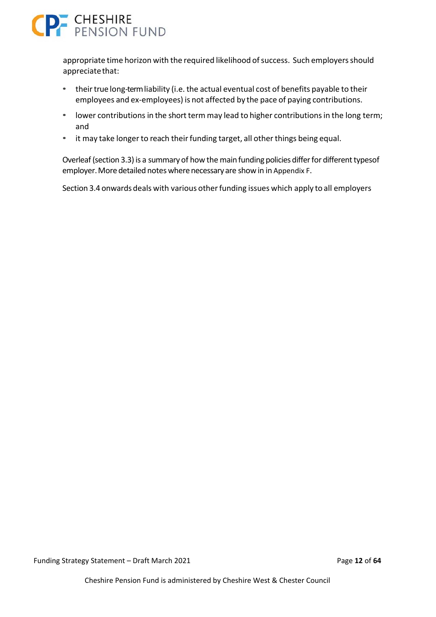

appropriate time horizon with the required likelihood of success. Such employers should appreciate that:

- their true long-term liability (i.e. the actual eventual cost of benefits payable to their employees and ex-employees) is not affected by the pace of paying contributions.
- lower contributions in the short term may lead to higher contributions in the long term; and
- it may take longer to reach their funding target, all other things being equal.

Overleaf (section 3.3) is a summary of how the main funding policies differ for different types of employer. More detailed notes where necessary are show in in Appendix F.

Section 3.4 onwards deals with various other funding issues which apply to all employers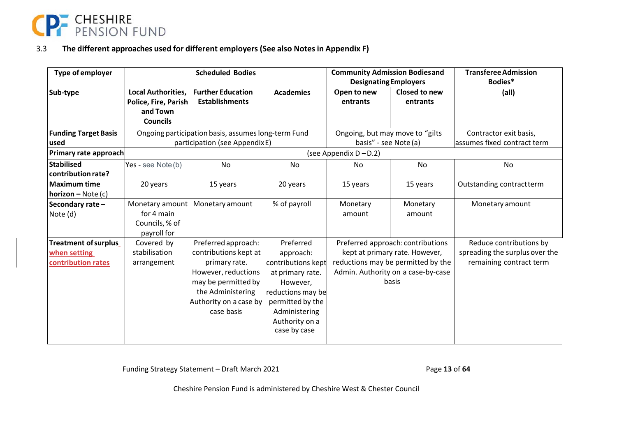

#### 3.3**The different approaches used for different employers (See also Notes in Appendix F)**

| <b>Type of employer</b>                                           |                                                                           | <b>Scheduled Bodies</b>                                                                                                                                                  |                                                                                                                                                                          | <b>Community Admission Bodiesand</b><br><b>Designating Employers</b> |                                                                                                                                                          | <b>Transferee Admission</b><br>Bodies*                                               |
|-------------------------------------------------------------------|---------------------------------------------------------------------------|--------------------------------------------------------------------------------------------------------------------------------------------------------------------------|--------------------------------------------------------------------------------------------------------------------------------------------------------------------------|----------------------------------------------------------------------|----------------------------------------------------------------------------------------------------------------------------------------------------------|--------------------------------------------------------------------------------------|
| Sub-type                                                          | Local Authorities,<br>Police, Fire, Parish<br>and Town<br><b>Councils</b> | <b>Further Education</b><br><b>Establishments</b>                                                                                                                        | <b>Academies</b>                                                                                                                                                         | Open to new<br>entrants                                              | Closed to new<br>entrants                                                                                                                                | (all)                                                                                |
| <b>Funding Target Basis</b><br>used                               |                                                                           | Ongoing participation basis, assumes long-term Fund<br>participation (see AppendixE)                                                                                     |                                                                                                                                                                          | Ongoing, but may move to "gilts<br>basis" - see Note (a)             |                                                                                                                                                          | Contractor exit basis,<br>assumes fixed contract term                                |
| Primary rate approach<br><b>Stabilised</b><br>contribution rate?  | Yes - see $Note(b)$                                                       | No                                                                                                                                                                       | No                                                                                                                                                                       | (see Appendix $D - D.2$ )<br>No                                      | No                                                                                                                                                       | No                                                                                   |
| <b>Maximum time</b><br><b>horizon</b> – Note $(c)$                | 20 years                                                                  | 15 years                                                                                                                                                                 | 20 years                                                                                                                                                                 | 15 years                                                             | 15 years                                                                                                                                                 | Outstanding contractterm                                                             |
| Secondary rate-<br>Note (d)                                       | Monetary amount<br>for 4 main<br>Councils, % of<br>payroll for            | Monetary amount                                                                                                                                                          | % of payroll                                                                                                                                                             | Monetary<br>amount                                                   | Monetary<br>amount                                                                                                                                       | Monetary amount                                                                      |
| <b>Treatment of surplus</b><br>when setting<br>contribution rates | Covered by<br>stabilisation<br>arrangement                                | Preferred approach:<br>contributions kept at<br>primary rate.<br>However, reductions<br>may be permitted by<br>the Administering<br>Authority on a case by<br>case basis | Preferred<br>approach:<br>contributions kept<br>at primary rate.<br>However,<br>reductions may be<br>permitted by the<br>Administering<br>Authority on a<br>case by case |                                                                      | Preferred approach: contributions<br>kept at primary rate. However,<br>reductions may be permitted by the<br>Admin. Authority on a case-by-case<br>basis | Reduce contributions by<br>spreading the surplus over the<br>remaining contract term |

Funding Strategy Statement – Draft March 2021 Page **13** of **64**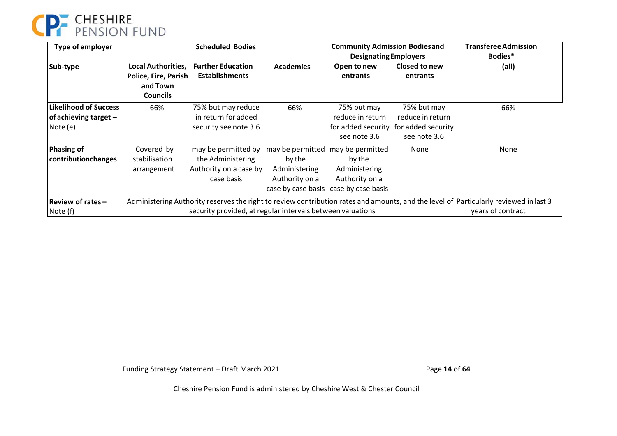

| Type of employer                                                    | <b>Scheduled Bodies</b>                                                                                                                                                                             |                                                                                  | <b>Community Admission Bodiesand</b><br><b>Designating Employers</b>                |                                                                                     | <b>Transferee Admission</b><br>Bodies*                                |                   |
|---------------------------------------------------------------------|-----------------------------------------------------------------------------------------------------------------------------------------------------------------------------------------------------|----------------------------------------------------------------------------------|-------------------------------------------------------------------------------------|-------------------------------------------------------------------------------------|-----------------------------------------------------------------------|-------------------|
| Sub-type                                                            | Local Authorities,<br>Police, Fire, Parish<br>and Town<br><b>Councils</b>                                                                                                                           | <b>Further Education</b><br><b>Establishments</b>                                | <b>Academies</b>                                                                    | Open to new<br>entrants                                                             | Closed to new<br>entrants                                             | (all)             |
| <b>Likelihood of Success</b><br>of achieving target $-$<br>Note (e) | 66%                                                                                                                                                                                                 | 75% but may reduce<br>in return for added<br>security see note 3.6               | 66%                                                                                 | 75% but may<br>reduce in return<br>for added security<br>see note 3.6               | 75% but may<br>reduce in return<br>for added security<br>see note 3.6 | 66%               |
| <b>Phasing of</b><br>contributionchanges                            | Covered by<br>stabilisation<br>arrangement                                                                                                                                                          | may be permitted by<br>the Administering<br>Authority on a case by<br>case basis | may be permitted<br>by the<br>Administering<br>Authority on a<br>case by case basis | may be permitted<br>by the<br>Administering<br>Authority on a<br>case by case basis | None                                                                  | None              |
| Review of rates-<br>Note (f)                                        | Administering Authority reserves the right to review contribution rates and amounts, and the level of Particularly reviewed in last 3<br>security provided, at regular intervals between valuations |                                                                                  |                                                                                     |                                                                                     |                                                                       | years of contract |

Funding Strategy Statement – Draft March 2021 Page **14** of **64**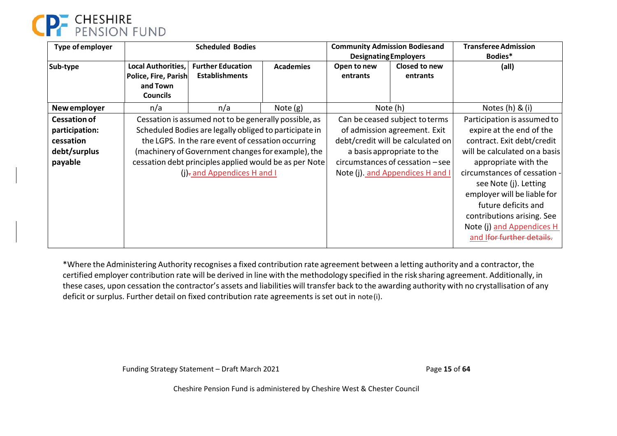

| Type of employer                                                              |                                                                                                                                                                                                                                                                                                                     | <b>Scheduled Bodies</b>                           |                  | <b>Community Admission Bodiesand</b><br><b>Designating Employers</b>                                                                                                                                         |                                                                                                                                                                                                                                                                                                                                                       | <b>Transferee Admission</b><br>Bodies* |
|-------------------------------------------------------------------------------|---------------------------------------------------------------------------------------------------------------------------------------------------------------------------------------------------------------------------------------------------------------------------------------------------------------------|---------------------------------------------------|------------------|--------------------------------------------------------------------------------------------------------------------------------------------------------------------------------------------------------------|-------------------------------------------------------------------------------------------------------------------------------------------------------------------------------------------------------------------------------------------------------------------------------------------------------------------------------------------------------|----------------------------------------|
| Sub-type                                                                      | Local Authorities,<br>Police, Fire, Parish<br>and Town<br><b>Councils</b>                                                                                                                                                                                                                                           | <b>Further Education</b><br><b>Establishments</b> | <b>Academies</b> | Open to new<br>entrants                                                                                                                                                                                      | Closed to new<br>entrants                                                                                                                                                                                                                                                                                                                             | (all)                                  |
| New employer                                                                  | n/a                                                                                                                                                                                                                                                                                                                 | n/a                                               | Note $(g)$       |                                                                                                                                                                                                              | Note (h)                                                                                                                                                                                                                                                                                                                                              | Notes $(h)$ & $(i)$                    |
| <b>Cessation of</b><br>participation:<br>cessation<br>debt/surplus<br>payable | Cessation is assumed not to be generally possible, as<br>Scheduled Bodies are legally obliged to participate in<br>the LGPS. In the rare event of cessation occurring<br>(machinery of Government changes for example), the<br>cessation debt principles applied would be as per Note<br>(j)-and Appendices H and I |                                                   |                  | Can be ceased subject to terms<br>of admission agreement. Exit<br>debt/credit will be calculated on<br>a basis appropriate to the<br>$circumstances$ of cessation $-see$<br>Note (j). and Appendices H and I | Participation is assumed to<br>expire at the end of the<br>contract. Exit debt/credit<br>will be calculated on a basis<br>appropriate with the<br>circumstances of cessation -<br>see Note (j). Letting<br>employer will be liable for<br>future deficits and<br>contributions arising. See<br>Note (j) and Appendices H<br>and Ifer further details. |                                        |

\*Where the Administering Authority recognises a fixed contribution rate agreement between a letting authority and a contractor, the certified employer contribution rate will be derived in line with the methodology specified in the risk sharing agreement. Additionally, in these cases, upon cessation the contractor's assets and liabilities will transfer back to the awarding authority with no crystallisation of any deficit or surplus. Further detail on fixed contribution rate agreements is set out in note (i).

Funding Strategy Statement – Draft March 2021 Page **15** of **64**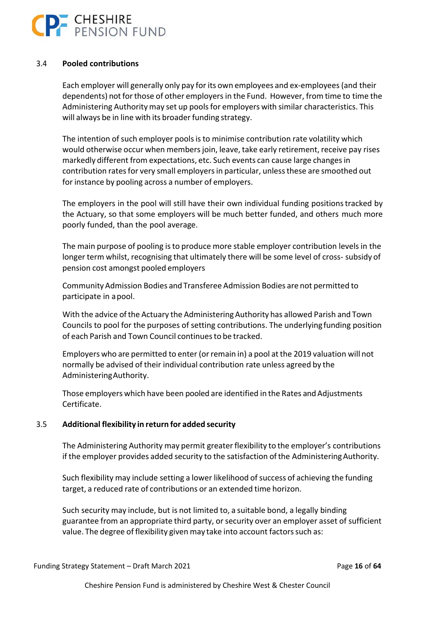

### 3.4 **Pooled contributions**

Each employer will generally only pay for its own employees and ex‐employees (and their dependents) not for those of other employers in the Fund. However, from time to time the Administering Authority may set up pools for employers with similar characteristics. This will always be in line with its broader funding strategy.

The intention of such employer pools is to minimise contribution rate volatility which would otherwise occur when members join, leave, take early retirement, receive pay rises markedly different from expectations, etc. Such events can cause large changes in contribution rates for very small employers in particular, unless these are smoothed out for instance by pooling across a number of employers.

The employers in the pool will still have their own individual funding positions tracked by the Actuary, so that some employers will be much better funded, and others much more poorly funded, than the pool average.

The main purpose of pooling is to produce more stable employer contribution levels in the longer term whilst, recognising that ultimately there will be some level of cross- subsidy of pension cost amongst pooled employers

Community Admission Bodies and Transferee Admission Bodies are not permitted to participate in a pool.

With the advice of the Actuary the Administering Authority has allowed Parish and Town Councils to pool for the purposes of setting contributions. The underlying funding position of each Parish and Town Council continues to be tracked.

Employers who are permitted to enter (or remain in) a pool at the 2019 valuation will not normally be advised of their individual contribution rate unless agreed by the Administering Authority.

Those employers which have been pooled are identified in the Rates and Adjustments Certificate.

#### 3.5 **Additional flexibility in return for added security**

The Administering Authority may permit greater flexibility to the employer's contributions if the employer provides added security to the satisfaction of the Administering Authority.

Such flexibility may include setting a lower likelihood of success of achieving the funding target, a reduced rate of contributions or an extended time horizon.

Such security may include, but is not limited to, a suitable bond, a legally binding guarantee from an appropriate third party, or security over an employer asset of sufficient value. The degree of flexibility given may take into account factors such as: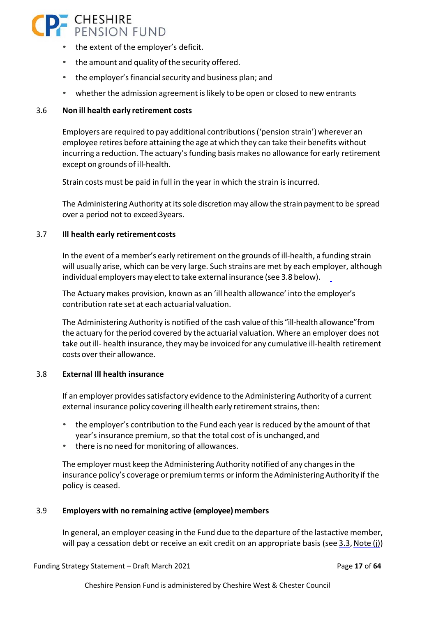# CHESHIRE<br>PENSION FUND

- the extent of the employer's deficit.
- the amount and quality of the security offered.
- the employer's financial security and business plan; and
- whether the admission agreement is likely to be open or closed to new entrants

### 3.6 **Non ill health early retirement costs**

Employers are required to pay additional contributions ('pension strain') wherever an employee retires before attaining the age at which they can take their benefits without incurring a reduction. The actuary's funding basis makes no allowance for early retirement except on grounds of ill‐health.

Strain costs must be paid in full in the year in which the strain is incurred.

The Administering Authority at its sole discretion may allow the strain payment to be spread over a period not to exceed 3years.

### 3.7 **Ill health early retirement costs**

In the event of a member's early retirement on the grounds of ill‐health, a funding strain will usually arise, which can be very large. Such strains are met by each employer, although individual employers may elect to take external insurance (see 3.8 below).

The Actuary makes provision, known as an 'ill health allowance' into the employer's contribution rate set at each actuarial valuation.

The Administering Authority is notified of the cash value of this "ill-health allowance" from the actuary for the period covered by the actuarial valuation. Where an employer does not take out ill‐ health insurance, they may be invoiced for any cumulative ill‐health retirement costs over their allowance.

### 3.8 **External Ill health insurance**

If an employer provides satisfactory evidence to the Administering Authority of a current external insurance policy covering ill health early retirement strains, then:

- the employer's contribution to the Fund each year is reduced by the amount of that year's insurance premium, so that the total cost of is unchanged, and
- there is no need for monitoring of allowances.

The employer must keep the Administering Authority notified of any changes in the insurance policy's coverage or premium terms or inform the Administering Authority if the policy is ceased.

### 3.9 **Employers with no remaining active (employee) members**

In general, an employer ceasing in the Fund due to the departure of the lastactive member, will pay a cessation debt or receive an exit credit on an appropriate basis (see 3.3, Note (j))

Funding Strategy Statement – Draft March 2021 Page **17** of **64**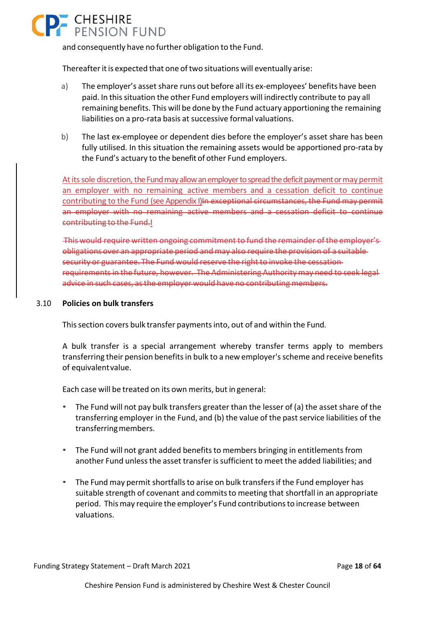# **P.** CHESHIRE

and consequently have no further obligation to the Fund.

Thereafter it is expected that one of two situations will eventually arise:

- a) The employer's asset share runs out before all its ex-employees' benefits have been paid. In this situation the other Fund employers will indirectly contribute to pay all remaining benefits. This will be done by the Fund actuary apportioning the remaining liabilities on a pro‐rata basis at successive formal valuations.
- b) The last ex-employee or dependent dies before the employer's asset share has been fully utilised. In this situation the remaining assets would be apportioned pro‐rata by the Fund's actuary to the benefit of other Fund employers.

At its sole discretion, the Fund may allow an employer to spread the deficit payment or may permit an employer with no remaining active members and a cessation deficit to continue contributing to the Fund (see Appendix I)In exceptional circumstances, the Fund may permit an employer with no remaining active members and a cessation deficit to continue contributing to the Fund.I

 This would require written ongoing commitment to fund the remainder of the employer's obligations over an appropriate period and may also require the provision of a suitable security or guarantee. The Fund would reserve the right to invoke the cessation requirements in the future, however. The Administering Authority may need to seek legal advice in such cases, as the employer would have no contributing members.

### 3.10 **Policies on bulk transfers**

This section covers bulk transfer payments into, out of and within the Fund.

A bulk transfer is a special arrangement whereby transfer terms apply to members transferring their pension benefits in bulk to a new employer's scheme and receive benefits of equivalent value.

Each case will be treated on its own merits, but in general:

- The Fund will not pay bulk transfers greater than the lesser of (a) the asset share of the transferring employer in the Fund, and (b) the value of the past service liabilities of the transferring members.
- The Fund will not grant added benefits to members bringing in entitlements from another Fund unless the asset transfer is sufficient to meet the added liabilities; and
- The Fund may permit shortfalls to arise on bulk transfers if the Fund employer has suitable strength of covenant and commits to meeting that shortfall in an appropriate period. This may require the employer's Fund contributions to increase between valuations.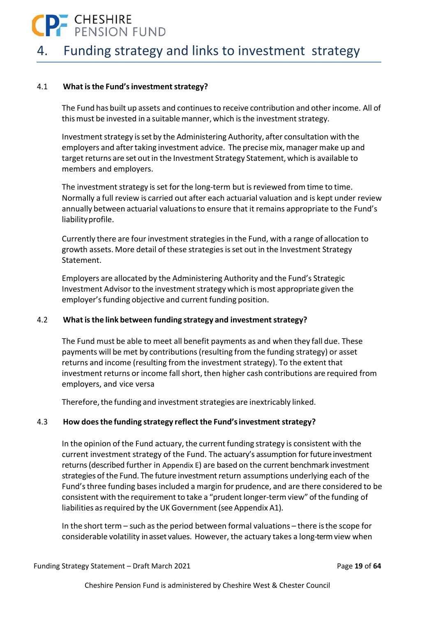

### 4. Funding strategy and links to investment strategy

#### 4.1 **What is the Fund's investment strategy?**

The Fund has built up assets and continues to receive contribution and other income. All of this must be invested in a suitable manner, which is the investment strategy.

Investment strategy is set by the Administering Authority, after consultation with the employers and after taking investment advice. The precise mix, manager make up and target returns are set out in the Investment Strategy Statement, which is available to members and employers.

The investment strategy is set for the long-term but is reviewed from time to time. Normally a full review is carried out after each actuarial valuation and is kept under review annually between actuarial valuations to ensure that it remains appropriate to the Fund's liability profile.

Currently there are four investment strategies in the Fund, with a range of allocation to growth assets. More detail of these strategies is set out in the Investment Strategy Statement.

Employers are allocated by the Administering Authority and the Fund's Strategic Investment Advisor to the investment strategy which is most appropriate given the employer's funding objective and current funding position.

### 4.2 **What is the link between funding strategy and investment strategy?**

The Fund must be able to meet all benefit payments as and when they fall due. These payments will be met by contributions (resulting from the funding strategy) or asset returns and income (resulting from the investment strategy). To the extent that investment returns or income fall short, then higher cash contributions are required from employers, and vice versa

Therefore, the funding and investment strategies are inextricably linked.

### 4.3 **How does the funding strategy reflect the Fund's investment strategy?**

In the opinion of the Fund actuary, the current funding strategy is consistent with the current investment strategy of the Fund. The actuary's assumption for future investment returns (described further in Appendix E) are based on the current benchmark investment strategies of the Fund. The future investment return assumptions underlying each of the Fund's three funding bases included a margin for prudence, and are there considered to be consistent with the requirement to take a "prudent longer‐term view" of the funding of liabilities as required by the UK Government (see Appendix A1).

In the short term – such as the period between formal valuations – there is the scope for considerable volatility in asset values. However, the actuary takes a long-term view when

Funding Strategy Statement – Draft March 2021 Page **19** of **64**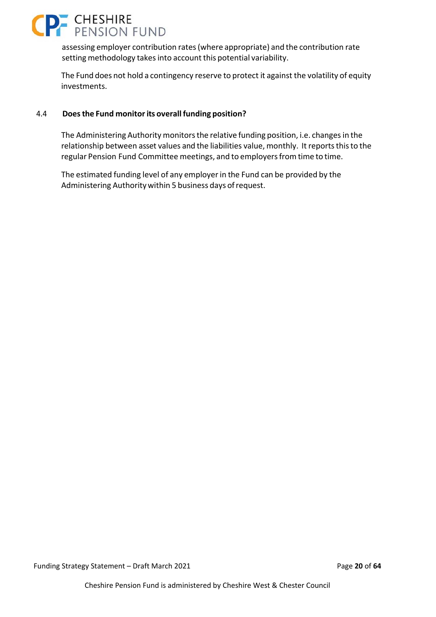

assessing employer contribution rates (where appropriate) and the contribution rate setting methodology takes into account this potential variability.

The Fund does not hold a contingency reserve to protect it against the volatility of equity investments.

#### 4.4 **Does the Fund monitor its overall funding position?**

The Administering Authority monitors the relative funding position, i.e. changes in the relationship between asset values and the liabilities value, monthly. It reports this to the regular Pension Fund Committee meetings, and to employers from time to time.

The estimated funding level of any employer in the Fund can be provided by the Administering Authority within 5 business days of request.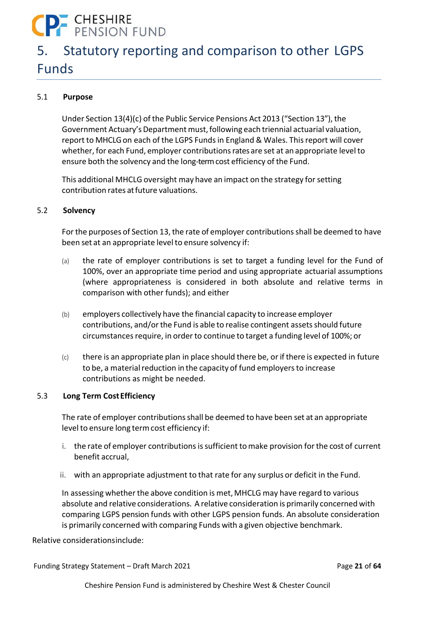# **P** CHESHIRE<br>PENSION FUND

### 5. Statutory reporting and comparison to other LGPS Funds

### 5.1 **Purpose**

Under Section 13(4)(c) of the Public Service Pensions Act 2013 ("Section 13"), the Government Actuary's Department must, following each triennial actuarial valuation, report to MHCLG on each of the LGPS Funds in England & Wales. This report will cover whether, for each Fund, employer contributions rates are set at an appropriate level to ensure both the solvency and the long‐term cost efficiency of the Fund.

This additional MHCLG oversight may have an impact on the strategy for setting contribution rates at future valuations.

### 5.2 **Solvency**

For the purposes of Section 13, the rate of employer contributions shall be deemed to have been set at an appropriate level to ensure solvency if:

- (a) the rate of employer contributions is set to target a funding level for the Fund of 100%, over an appropriate time period and using appropriate actuarial assumptions (where appropriateness is considered in both absolute and relative terms in comparison with other funds); and either
- (b) employers collectively have the financial capacity to increase employer contributions, and/or the Fund is able to realise contingent assets should future circumstances require, in order to continue to target a funding level of 100%; or
- $(c)$  there is an appropriate plan in place should there be, or if there is expected in future to be, a material reduction in the capacity of fund employers to increase contributions as might be needed.

### 5.3 **Long Term Cost Efficiency**

The rate of employer contributions shall be deemed to have been set at an appropriate level to ensure long term cost efficiency if:

- i. the rate of employer contributions is sufficient to make provision for the cost of current benefit accrual,
- ii. with an appropriate adjustment to that rate for any surplus or deficit in the Fund.

In assessing whether the above condition is met, MHCLG may have regard to various absolute and relative considerations. A relative consideration is primarily concerned with comparing LGPS pension funds with other LGPS pension funds. An absolute consideration is primarily concerned with comparing Funds with a given objective benchmark.

Relative considerations include:

Funding Strategy Statement – Draft March 2021 Page **21** of **64**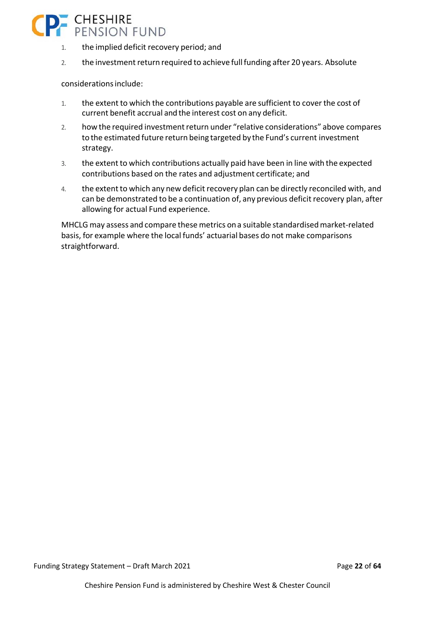

- 1. the implied deficit recovery period; and
- 2. the investment return required to achieve full funding after 20 years. Absolute

considerations include:

- 1. the extent to which the contributions payable are sufficient to cover the cost of current benefit accrual and the interest cost on any deficit.
- 2. how the required investment return under "relative considerations" above compares to the estimated future return being targeted by the Fund's current investment strategy.
- 3. the extent to which contributions actually paid have been in line with the expected contributions based on the rates and adjustment certificate; and
- 4. the extent to which any new deficit recovery plan can be directly reconciled with, and can be demonstrated to be a continuation of, any previous deficit recovery plan, after allowing for actual Fund experience.

MHCLG may assess and compare these metrics on a suitable standardised market‐related basis, for example where the local funds' actuarial bases do not make comparisons straightforward.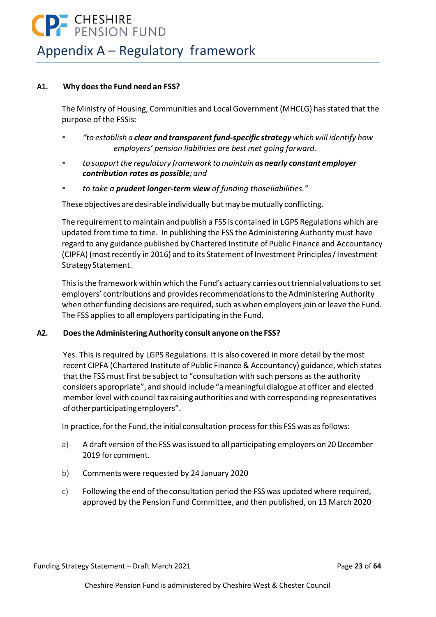### **P.** CHESHIRE<br>PENSION FUND Appendix A – Regulatory framework

#### **A1. Why does the Fund need an FSS?**

The Ministry of Housing, Communities and Local Government (MHCLG) has stated that the purpose of the FSSis:

- *"to establish a clear and transparent fund‐specific strategy which will identify how employers' pension liabilities are best met going forward.*
- *to support the regulatory framework to maintain as nearly constant employer contribution rates as possible; and*
- *to take a prudent longer‐term view of funding those liabilities."*

These objectives are desirable individually but may be mutually conflicting.

The requirement to maintain and publish a FSS is contained in LGPS Regulations which are updated from time to time. In publishing the FSS the Administering Authority must have regard to any guidance published by Chartered Institute of Public Finance and Accountancy (CIPFA) (most recently in 2016) and to its Statement of Investment Principles / Investment Strategy Statement.

This is the framework within which the Fund's actuary carries out triennial valuations to set employers' contributions and provides recommendations to the Administering Authority when other funding decisions are required, such as when employers join or leave the Fund. The FSS applies to all employers participating in the Fund.

#### **A2. Does the Administering Authority consult anyone on the FSS?**

Yes. This is required by LGPS Regulations. It is also covered in more detail by the most recent CIPFA (Chartered Institute of Public Finance & Accountancy) guidance, which states that the FSS must first be subject to "consultation with such persons as the authority considers appropriate", and should include "a meaningful dialogue at officer and elected member level with council tax raising authorities and with corresponding representatives of other participating employers".

In practice, for the Fund, the initial consultation process for this FSS was as follows:

- a) A draft version of the FSS was issued to all participating employers on 20 December 2019 for comment.
- b) Comments were requested by 24 January 2020
- c) Following the end of the consultation period the FSS was updated where required, approved by the Pension Fund Committee, and then published, on 13 March 2020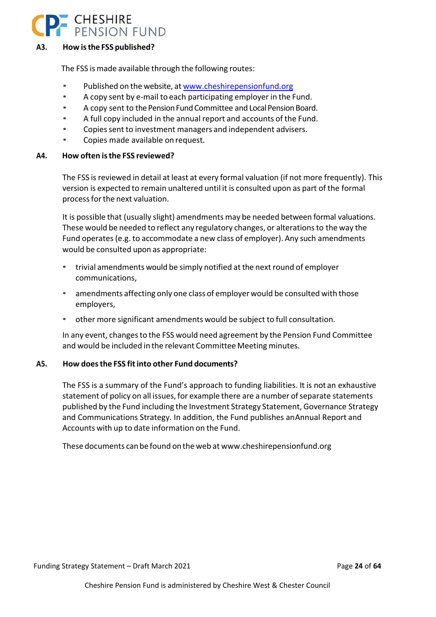

### **A3. How is the FSS published?**

The FSS is made available through the following routes:

- Published on the website, at www.cheshirepensionfund.org
- A copy sent by e‐mail to each participating employer in the Fund.
- A copy sent to the Pension Fund Committee and Local Pension Board.
- A full copy included in the annual report and accounts of the Fund.
- Copies sent to investment managers and independent advisers.
- Copies made available on request.

#### **A4. How often is the FSS reviewed?**

The FSS is reviewed in detail at least at every formal valuation (if not more frequently). This version is expected to remain unaltered until it is consulted upon as part of the formal process for the next valuation.

It is possible that (usually slight) amendments may be needed between formal valuations. These would be needed to reflect any regulatory changes, or alterations to the way the Fund operates (e.g. to accommodate a new class of employer). Any such amendments would be consulted upon as appropriate:

- trivial amendments would be simply notified at the next round of employer communications,
- amendments affecting only one class of employer would be consulted with those employers,
- other more significant amendments would be subject to full consultation.

In any event, changes to the FSS would need agreement by the Pension Fund Committee and would be included in the relevant Committee Meeting minutes.

#### **A5. How does the FSS fit into other Fund documents?**

The FSS is a summary of the Fund's approach to funding liabilities. It is not an exhaustive statement of policy on all issues, for example there are a number of separate statements published by the Fund including the Investment Strategy Statement, Governance Strategy and Communications Strategy. In addition, the Fund publishes an Annual Report and Accounts with up to date information on the Fund.

These documents can be found on the web at www.cheshirepensionfund.org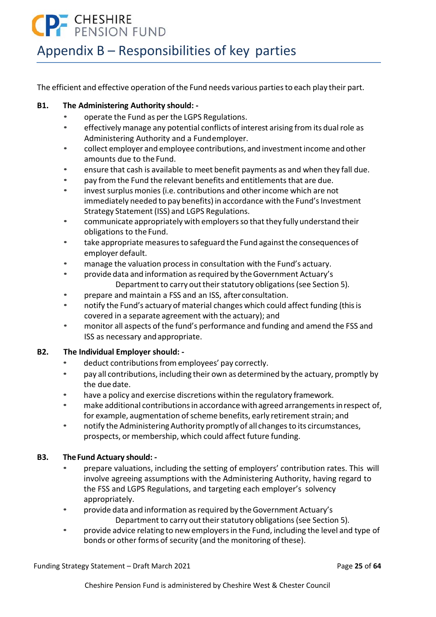# **DE CHESHIRE**<br>PENSION FUND

### Appendix B – Responsibilities of key parties

The efficient and effective operation of the Fund needs various parties to each play their part.

### **B1. The Administering Authority should: ‐**

- operate the Fund as per the LGPS Regulations.
- effectively manage any potential conflicts of interest arising from its dual role as Administering Authority and a Fund employer.
- collect employer and employee contributions, and investment income and other amounts due to the Fund.
- ensure that cash is available to meet benefit payments as and when they fall due.
- pay from the Fund the relevant benefits and entitlements that are due.
- invest surplus monies (i.e. contributions and other income which are not immediately needed to pay benefits) in accordance with the Fund's Investment Strategy Statement (ISS) and LGPS Regulations.
- communicate appropriately with employers so that they fully understand their obligations to the Fund.
- take appropriate measures to safeguard the Fund against the consequences of employer default.
- manage the valuation process in consultation with the Fund's actuary.
- provide data and information as required by the Government Actuary's Department to carry out their statutory obligations (see Section 5).
- prepare and maintain a FSS and an ISS, after consultation.
- notify the Fund's actuary of material changes which could affect funding (this is covered in a separate agreement with the actuary); and
- monitor all aspects of the fund's performance and funding and amend the FSS and ISS as necessary and appropriate.

### **B2. The Individual Employer should: ‐**

- deduct contributions from employees' pay correctly.
- pay all contributions, including their own as determined by the actuary, promptly by the due date.
- have a policy and exercise discretions within the regulatory framework.
- make additional contributions in accordance with agreed arrangements in respect of, for example, augmentation of scheme benefits, early retirement strain; and
- notify the Administering Authority promptly of all changes to its circumstances, prospects, or membership, which could affect future funding.

### **B3. The Fund Actuary should: ‐**

- prepare valuations, including the setting of employers' contribution rates. This will involve agreeing assumptions with the Administering Authority, having regard to the FSS and LGPS Regulations, and targeting each employer's solvency appropriately.
- provide data and information as required by the Government Actuary's Department to carry out their statutory obligations (see Section 5).
- provide advice relating to new employers in the Fund, including the level and type of bonds or other forms of security (and the monitoring of these).

Funding Strategy Statement – Draft March 2021 Page **25** of **64**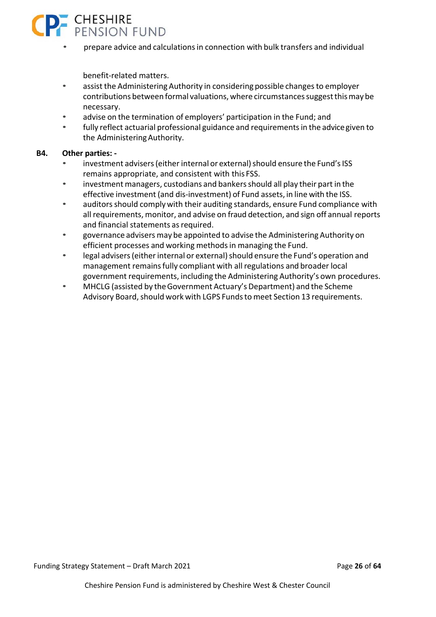

• prepare advice and calculations in connection with bulk transfers and individual

benefit‐related matters.

- assist the Administering Authority in considering possible changes to employer contributions between formal valuations, where circumstances suggest this may be necessary.
- advise on the termination of employers' participation in the Fund; and
- fully reflect actuarial professional guidance and requirements in the advice given to the Administering Authority.

#### **B4. Other parties: ‐**

- investment advisers (either internal or external) should ensure the Fund's ISS remains appropriate, and consistent with this FSS.
- investment managers, custodians and bankers should all play their part in the effective investment (and dis‐investment) of Fund assets, in line with the ISS.
- auditors should comply with their auditing standards, ensure Fund compliance with all requirements, monitor, and advise on fraud detection, and sign off annual reports and financial statements as required.
- governance advisers may be appointed to advise the Administering Authority on efficient processes and working methods in managing the Fund.
- legal advisers (either internal or external) should ensure the Fund's operation and management remains fully compliant with all regulations and broader local government requirements, including the Administering Authority's own procedures.
- MHCLG (assisted by the Government Actuary's Department) and the Scheme Advisory Board, should work with LGPS Funds to meet Section 13 requirements.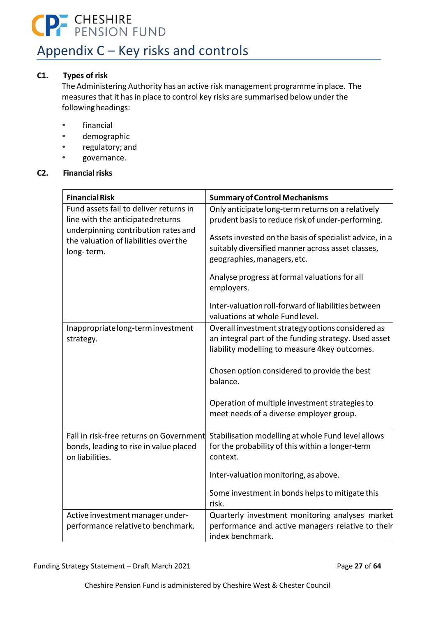# **P.** CHESHIRE<br>PENSION FUND

### Appendix C – Key risks and controls

### **C1. Types of risk**

The Administering Authority has an active risk management programme in place. The measures that it has in place to control key risks are summarised below under the following headings:

- financial
- demographic
- regulatory; and
- governance.

### **C2. Financial risks**

| <b>Financial Risk</b>                                     | <b>Summary of Control Mechanisms</b>                                                      |
|-----------------------------------------------------------|-------------------------------------------------------------------------------------------|
| Fund assets fail to deliver returns in                    | Only anticipate long-term returns on a relatively                                         |
| line with the anticipatedreturns                          | prudent basis to reduce risk of under-performing.                                         |
| underpinning contribution rates and                       | Assets invested on the basis of specialist advice, in a                                   |
| the valuation of liabilities over the                     | suitably diversified manner across asset classes,                                         |
| long-term.                                                | geographies, managers, etc.                                                               |
|                                                           |                                                                                           |
|                                                           | Analyse progress at formal valuations for all<br>employers.                               |
|                                                           | Inter-valuation roll-forward of liabilities between<br>valuations at whole Fundlevel.     |
| Inappropriate long-term investment                        | Overall investment strategy options considered as                                         |
| strategy.                                                 | an integral part of the funding strategy. Used asset                                      |
|                                                           | liability modelling to measure 4key outcomes.                                             |
|                                                           | Chosen option considered to provide the best<br>balance.                                  |
|                                                           | Operation of multiple investment strategies to<br>meet needs of a diverse employer group. |
| Fall in risk-free returns on Government                   | Stabilisation modelling at whole Fund level allows                                        |
| bonds, leading to rise in value placed<br>on liabilities. | for the probability of this within a longer-term<br>context.                              |
|                                                           | Inter-valuation monitoring, as above.                                                     |
|                                                           | Some investment in bonds helps to mitigate this<br>risk.                                  |
| Active investment manager under-                          | Quarterly investment monitoring analyses market                                           |
| performance relative to benchmark.                        | performance and active managers relative to their                                         |
|                                                           | index benchmark.                                                                          |

Funding Strategy Statement – Draft March 2021 **Page 27** of 64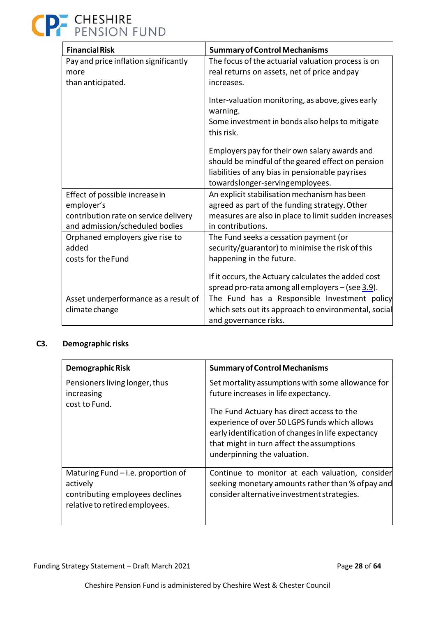| <b>Financial Risk</b>                                                   | <b>Summary of Control Mechanisms</b>                                                                                                                                                     |
|-------------------------------------------------------------------------|------------------------------------------------------------------------------------------------------------------------------------------------------------------------------------------|
| Pay and price inflation significantly                                   | The focus of the actuarial valuation process is on                                                                                                                                       |
| more                                                                    | real returns on assets, net of price andpay                                                                                                                                              |
| than anticipated.                                                       | increases.                                                                                                                                                                               |
|                                                                         | Inter-valuation monitoring, as above, gives early<br>warning.<br>Some investment in bonds also helps to mitigate<br>this risk.                                                           |
|                                                                         | Employers pay for their own salary awards and<br>should be mindful of the geared effect on pension<br>liabilities of any bias in pensionable payrises<br>towardslonger-servingemployees. |
| Effect of possible increasein                                           | An explicit stabilisation mechanism has been                                                                                                                                             |
| employer's                                                              | agreed as part of the funding strategy. Other                                                                                                                                            |
| contribution rate on service delivery<br>and admission/scheduled bodies | measures are also in place to limit sudden increases<br>in contributions.                                                                                                                |
| Orphaned employers give rise to                                         | The Fund seeks a cessation payment (or                                                                                                                                                   |
| added                                                                   | security/guarantor) to minimise the risk of this                                                                                                                                         |
| costs for the Fund                                                      | happening in the future.                                                                                                                                                                 |
|                                                                         | If it occurs, the Actuary calculates the added cost<br>spread pro-rata among all employers $-$ (see $3.9$ ).                                                                             |
| Asset underperformance as a result of                                   | The Fund has a Responsible Investment policy                                                                                                                                             |
| climate change                                                          | which sets out its approach to environmental, social                                                                                                                                     |
|                                                                         | and governance risks.                                                                                                                                                                    |

### **C3. Demographic risks**

| <b>Demographic Risk</b>                                                                                               | <b>Summary of Control Mechanisms</b>                                                                                                                                                                                                                                                                                      |
|-----------------------------------------------------------------------------------------------------------------------|---------------------------------------------------------------------------------------------------------------------------------------------------------------------------------------------------------------------------------------------------------------------------------------------------------------------------|
| Pensioners living longer, thus<br>increasing<br>cost to Fund.                                                         | Set mortality assumptions with some allowance for<br>future increases in life expectancy.<br>The Fund Actuary has direct access to the<br>experience of over 50 LGPS funds which allows<br>early identification of changes in life expectancy<br>that might in turn affect the assumptions<br>underpinning the valuation. |
| Maturing Fund $-$ i.e. proportion of<br>actively<br>contributing employees declines<br>relative to retired employees. | Continue to monitor at each valuation, consider<br>seeking monetary amounts rather than % of pay and<br>consider alternative investment strategies.                                                                                                                                                                       |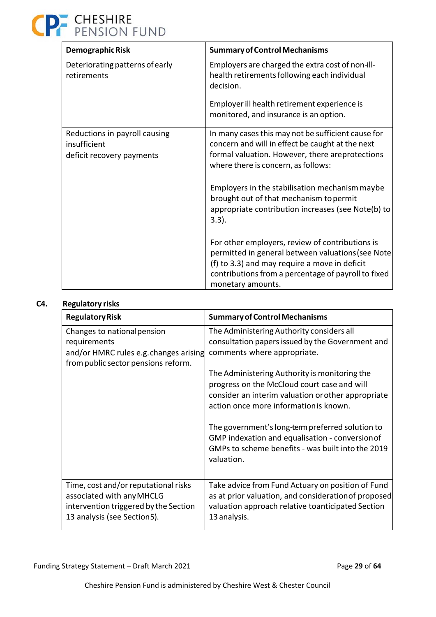| Demographic Risk                                                           | <b>Summary of Control Mechanisms</b>                                                                                                                                                                                              |
|----------------------------------------------------------------------------|-----------------------------------------------------------------------------------------------------------------------------------------------------------------------------------------------------------------------------------|
| Deteriorating patterns of early<br>retirements                             | Employers are charged the extra cost of non-ill-<br>health retirements following each individual<br>decision.                                                                                                                     |
|                                                                            | Employer ill health retirement experience is<br>monitored, and insurance is an option.                                                                                                                                            |
| Reductions in payroll causing<br>insufficient<br>deficit recovery payments | In many cases this may not be sufficient cause for<br>concern and will in effect be caught at the next<br>formal valuation. However, there areprotections<br>where there is concern, as follows:                                  |
|                                                                            | Employers in the stabilisation mechanism maybe<br>brought out of that mechanism to permit<br>appropriate contribution increases (see Note(b) to<br>$3.3$ ).                                                                       |
|                                                                            | For other employers, review of contributions is<br>permitted in general between valuations (see Note<br>(f) to 3.3) and may require a move in deficit<br>contributions from a percentage of payroll to fixed<br>monetary amounts. |

### **C4. Regulatory risks**

| <b>Regulatory Risk</b>                                                                                                                    | <b>Summary of Control Mechanisms</b>                                                                                                                                                         |
|-------------------------------------------------------------------------------------------------------------------------------------------|----------------------------------------------------------------------------------------------------------------------------------------------------------------------------------------------|
| Changes to national pension<br>requirements<br>and/or HMRC rules e.g. changes arising<br>from public sector pensions reform.              | The Administering Authority considers all<br>consultation papers issued by the Government and<br>comments where appropriate.                                                                 |
|                                                                                                                                           | The Administering Authority is monitoring the<br>progress on the McCloud court case and will<br>consider an interim valuation or other appropriate<br>action once more information is known. |
|                                                                                                                                           | The government's long-term preferred solution to<br>GMP indexation and equalisation - conversion of<br>GMPs to scheme benefits - was built into the 2019<br>valuation.                       |
| Time, cost and/or reputational risks<br>associated with any MHCLG<br>intervention triggered by the Section<br>13 analysis (see Section5). | Take advice from Fund Actuary on position of Fund<br>as at prior valuation, and consideration of proposed<br>valuation approach relative toanticipated Section<br>13 analysis.               |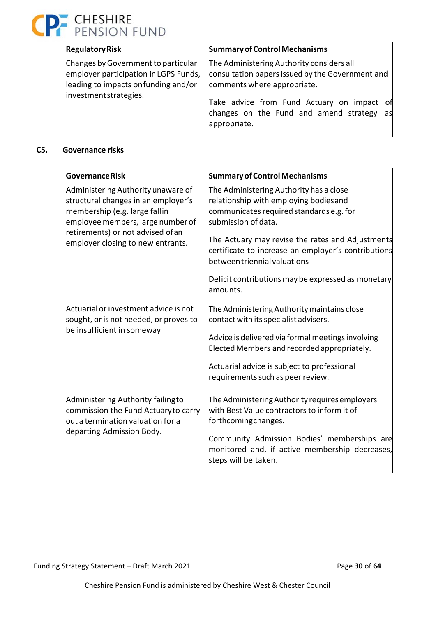| <b>Regulatory Risk</b>                                                                                                                         | <b>Summary of Control Mechanisms</b>                                                                                                                                                                                                       |
|------------------------------------------------------------------------------------------------------------------------------------------------|--------------------------------------------------------------------------------------------------------------------------------------------------------------------------------------------------------------------------------------------|
| Changes by Government to particular<br>employer participation in LGPS Funds,<br>leading to impacts on funding and/or<br>investment strategies. | The Administering Authority considers all<br>consultation papers issued by the Government and<br>comments where appropriate.<br>Take advice from Fund Actuary on impact of<br>changes on the Fund and amend strategy<br>as<br>appropriate. |

### **C5. Governance risks**

| <b>Governance Risk</b>                                                                                                                                                                                                    | <b>Summary of Control Mechanisms</b>                                                                                                                                                                                                                                                                                                                             |
|---------------------------------------------------------------------------------------------------------------------------------------------------------------------------------------------------------------------------|------------------------------------------------------------------------------------------------------------------------------------------------------------------------------------------------------------------------------------------------------------------------------------------------------------------------------------------------------------------|
| Administering Authority unaware of<br>structural changes in an employer's<br>membership (e.g. large fallin<br>employee members, large number of<br>retirements) or not advised of an<br>employer closing to new entrants. | The Administering Authority has a close<br>relationship with employing bodiesand<br>communicates required standards e.g. for<br>submission of data.<br>The Actuary may revise the rates and Adjustments<br>certificate to increase an employer's contributions<br>between triennial valuations<br>Deficit contributions may be expressed as monetary<br>amounts. |
| Actuarial or investment advice is not<br>sought, or is not heeded, or proves to<br>be insufficient in someway                                                                                                             | The Administering Authority maintains close<br>contact with its specialist advisers.<br>Advice is delivered via formal meetings involving<br>Elected Members and recorded appropriately.<br>Actuarial advice is subject to professional<br>requirements such as peer review.                                                                                     |
| Administering Authority failingto<br>commission the Fund Actuary to carry<br>out a termination valuation for a<br>departing Admission Body.                                                                               | The Administering Authority requires employers<br>with Best Value contractors to inform it of<br>forthcomingchanges.<br>Community Admission Bodies' memberships are<br>monitored and, if active membership decreases,<br>steps will be taken.                                                                                                                    |

Funding Strategy Statement – Draft March 2021 **Page 30 of 64** and  $P$ age 30 of 64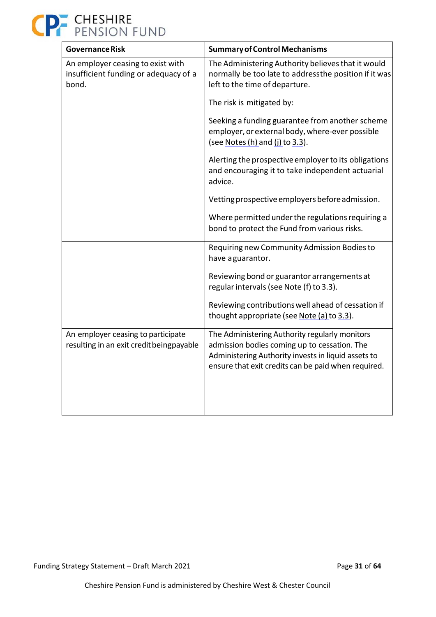

| <b>Governance Risk</b>                                                              | <b>Summary of Control Mechanisms</b>                                                                                                                                                                         |
|-------------------------------------------------------------------------------------|--------------------------------------------------------------------------------------------------------------------------------------------------------------------------------------------------------------|
| An employer ceasing to exist with<br>insufficient funding or adequacy of a<br>bond. | The Administering Authority believes that it would<br>normally be too late to addressthe position if it was<br>left to the time of departure.                                                                |
|                                                                                     | The risk is mitigated by:                                                                                                                                                                                    |
|                                                                                     | Seeking a funding guarantee from another scheme<br>employer, or external body, where-ever possible<br>(see Notes (h) and (j) to 3.3).                                                                        |
|                                                                                     | Alerting the prospective employer to its obligations<br>and encouraging it to take independent actuarial<br>advice.                                                                                          |
|                                                                                     | Vetting prospective employers before admission.                                                                                                                                                              |
|                                                                                     | Where permitted under the regulations requiring a<br>bond to protect the Fund from various risks.                                                                                                            |
|                                                                                     | Requiring new Community Admission Bodies to<br>have aguarantor.                                                                                                                                              |
|                                                                                     | Reviewing bond or guarantor arrangements at<br>regular intervals (see Note (f) to 3.3).                                                                                                                      |
|                                                                                     | Reviewing contributions well ahead of cessation if<br>thought appropriate (see Note (a) to 3.3).                                                                                                             |
| An employer ceasing to participate<br>resulting in an exit credit beingpayable      | The Administering Authority regularly monitors<br>admission bodies coming up to cessation. The<br>Administering Authority invests in liquid assets to<br>ensure that exit credits can be paid when required. |
|                                                                                     |                                                                                                                                                                                                              |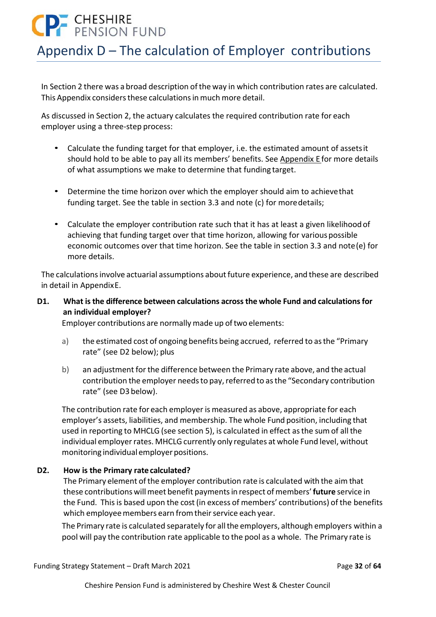# **P.** CHESHIRE

### Appendix D – The calculation of Employer contributions

In Section 2 there was a broad description of the way in which contribution rates are calculated. This Appendix considers these calculations in much more detail.

As discussed in Section 2, the actuary calculates the required contribution rate for each employer using a three‐step process:

- Calculate the funding target for that employer, i.e. the estimated amount of assets it should hold to be able to pay all its members' benefits. See Appendix E for more details of what assumptions we make to determine that funding target.
- Determine the time horizon over which the employer should aim to achieve that funding target. See the table in section 3.3 and note (c) for more details;
- Calculate the employer contribution rate such that it has at least a given likelihood of achieving that funding target over that time horizon, allowing for various possible economic outcomes over that time horizon. See the table in section 3.3 and note (e) for more details.

The calculations involve actuarial assumptions about future experience, and these are described in detail in Appendix E.

### **D1. What is the difference between calculations across the whole Fund and calculations for an individual employer?**

Employer contributions are normally made up of two elements:

- a) the estimated cost of ongoing benefits being accrued, referred to as the "Primary rate" (see D2 below); plus
- b) an adjustment for the difference between the Primary rate above, and the actual contribution the employer needs to pay, referred to as the "Secondary contribution rate" (see D3 below).

The contribution rate for each employer is measured as above, appropriate for each employer's assets, liabilities, and membership. The whole Fund position, including that used in reporting to MHCLG (see section 5), is calculated in effect as the sum of all the individual employer rates. MHCLG currently only regulates at whole Fund level, without monitoring individual employer positions.

### **D2. How is the Primary rate calculated?**

The Primary element of the employer contribution rate is calculated with the aim that these contributions will meet benefit payments in respect of members' **future** service in the Fund. This is based upon the cost (in excess of members' contributions) of the benefits which employee members earn from their service each year.

The Primary rate is calculated separately for all the employers, although employers within a pool will pay the contribution rate applicable to the pool as a whole. The Primary rate is

Funding Strategy Statement – Draft March 2021 Page **32** of **64**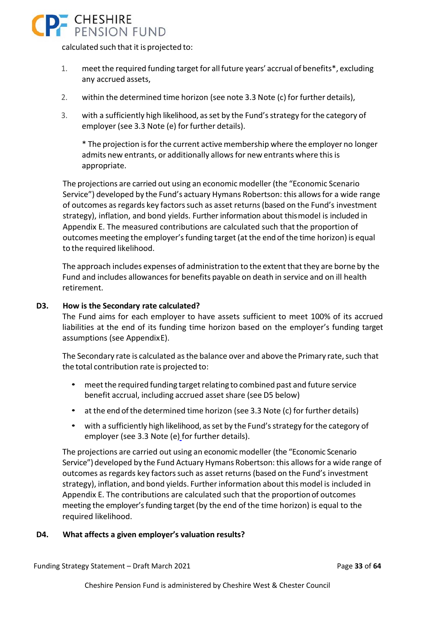

calculated such that it is projected to:

- 1. meet the required funding target for all future years' accrual of benefits\*, excluding any accrued assets,
- 2. within the determined time horizon (see note 3.3 Note (c) for further details),
- 3. with a sufficiently high likelihood, as set by the Fund's strategy for the category of employer (see 3.3 Note (e) for further details).

\* The projection is for the current active membership where the employer no longer admits new entrants, or additionally allows for new entrants where this is appropriate.

The projections are carried out using an economic modeller (the "Economic Scenario Service") developed by the Fund's actuary Hymans Robertson: this allows for a wide range of outcomes as regards key factors such as asset returns (based on the Fund's investment strategy), inflation, and bond yields. Further information about this model is included in Appendix E. The measured contributions are calculated such that the proportion of outcomes meeting the employer's funding target (at the end of the time horizon) is equal to the required likelihood.

The approach includes expenses of administration to the extent that they are borne by the Fund and includes allowances for benefits payable on death in service and on ill health retirement.

### **D3. How is the Secondary rate calculated?**

The Fund aims for each employer to have assets sufficient to meet 100% of its accrued liabilities at the end of its funding time horizon based on the employer's funding target assumptions (see Appendix E).

The Secondary rate is calculated as the balance over and above the Primary rate, such that the total contribution rate is projected to:

- meet the required funding target relating to combined past and future service benefit accrual, including accrued asset share (see D5 below)
- at the end of the determined time horizon (see 3.3 Note (c) for further details)
- with a sufficiently high likelihood, as set by the Fund's strategy for the category of employer (see 3.3 Note (e) for further details).

The projections are carried out using an economic modeller (the "Economic Scenario Service") developed by the Fund Actuary Hymans Robertson: this allows for a wide range of outcomes as regards key factors such as asset returns (based on the Fund's investment strategy), inflation, and bond yields. Further information about this model is included in Appendix E. The contributions are calculated such that the proportion of outcomes meeting the employer's funding target (by the end of the time horizon) is equal to the required likelihood.

### **D4. What affects a given employer's valuation results?**

Funding Strategy Statement – Draft March 2021 Page **33** of **64**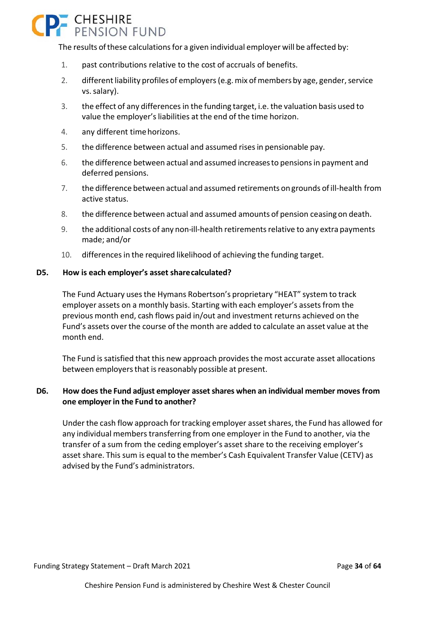# **P.** CHESHIRE

The results of these calculations for a given individual employer will be affected by:

- 1. past contributions relative to the cost of accruals of benefits.
- 2. different liability profiles of employers (e.g. mix of members by age, gender, service vs. salary).
- 3. the effect of any differences in the funding target, i.e. the valuation basis used to value the employer's liabilities at the end of the time horizon.
- 4. any different time horizons.
- 5. the difference between actual and assumed rises in pensionable pay.
- 6. the difference between actual and assumed increases to pensions in payment and deferred pensions.
- 7. the difference between actual and assumed retirements on grounds of ill-health from active status.
- 8. the difference between actual and assumed amounts of pension ceasing on death.
- 9. the additional costs of any non-ill-health retirements relative to any extra payments made; and/or
- 10. differences in the required likelihood of achieving the funding target.

#### **D5. How is each employer's asset share calculated?**

The Fund Actuary uses the Hymans Robertson's proprietary "HEAT" system to track employer assets on a monthly basis. Starting with each employer's assets from the previous month end, cash flows paid in/out and investment returns achieved on the Fund's assets over the course of the month are added to calculate an asset value at the month end.

The Fund is satisfied that this new approach provides the most accurate asset allocations between employers that is reasonably possible at present.

### **D6. How does the Fund adjust employer asset shares when an individual member moves from one employer in the Fund to another?**

Under the cash flow approach for tracking employer asset shares, the Fund has allowed for any individual members transferring from one employer in the Fund to another, via the transfer of a sum from the ceding employer's asset share to the receiving employer's asset share. This sum is equal to the member's Cash Equivalent Transfer Value (CETV) as advised by the Fund's administrators.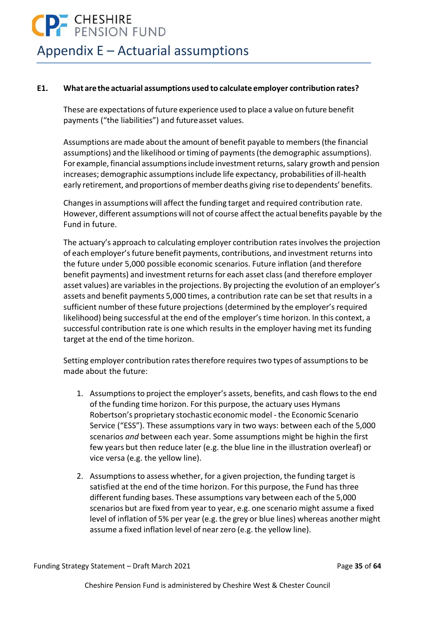# **P** CHESHIRE

### Appendix E – Actuarial assumptions

### **E1. What are the actuarial assumptions used to calculate employer contribution rates?**

These are expectations of future experience used to place a value on future benefit payments ("the liabilities") and future asset values.

Assumptions are made about the amount of benefit payable to members (the financial assumptions) and the likelihood or timing of payments (the demographic assumptions). For example, financial assumptions include investment returns, salary growth and pension increases; demographic assumptions include life expectancy, probabilities of ill‐health early retirement, and proportions of member deaths giving rise to dependents' benefits.

Changes in assumptions will affect the funding target and required contribution rate. However, different assumptions will not of course affect the actual benefits payable by the Fund in future.

The actuary's approach to calculating employer contribution rates involves the projection of each employer's future benefit payments, contributions, and investment returns into the future under 5,000 possible economic scenarios. Future inflation (and therefore benefit payments) and investment returns for each asset class (and therefore employer asset values) are variables in the projections. By projecting the evolution of an employer's assets and benefit payments 5,000 times, a contribution rate can be set that results in a sufficient number of these future projections (determined by the employer's required likelihood) being successful at the end of the employer's time horizon. In this context, a successful contribution rate is one which results in the employer having met its funding target at the end of the time horizon.

Setting employer contribution rates therefore requires two types of assumptions to be made about the future:

- 1. Assumptions to project the employer's assets, benefits, and cash flows to the end of the funding time horizon. For this purpose, the actuary uses Hymans Robertson's proprietary stochastic economic model ‐ the Economic Scenario Service ("ESS"). These assumptions vary in two ways: between each of the 5,000 scenarios *and* between each year. Some assumptions might be highin the first few years but then reduce later (e.g. the blue line in the illustration overleaf) or vice versa (e.g. the yellow line).
- 2. Assumptions to assess whether, for a given projection, the funding target is satisfied at the end of the time horizon. For this purpose, the Fund has three different funding bases. These assumptions vary between each of the 5,000 scenarios but are fixed from year to year, e.g. one scenario might assume a fixed level of inflation of 5% per year (e.g. the grey or blue lines) whereas another might assume a fixed inflation level of near zero (e.g. the yellow line).

Funding Strategy Statement – Draft March 2021 Page **35** of **64**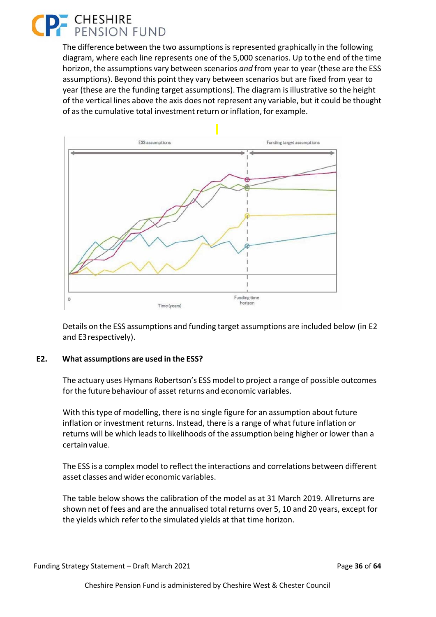### **CHESHIRE**<br>PENSION FUND

The difference between the two assumptions is represented graphically in the following diagram, where each line represents one of the 5,000 scenarios. Up to the end of the time horizon, the assumptions vary between scenarios *and* from year to year (these are the ESS assumptions). Beyond this point they vary between scenarios but are fixed from year to year (these are the funding target assumptions). The diagram is illustrative so the height of the vertical lines above the axis does not represent any variable, but it could be thought of as the cumulative total investment return or inflation, for example.



Details on the ESS assumptions and funding target assumptions are included below (in E2 and E3 respectively).

### **E2. What assumptions are used in the ESS?**

The actuary uses Hymans Robertson's ESS model to project a range of possible outcomes for the future behaviour of asset returns and economic variables.

With this type of modelling, there is no single figure for an assumption about future inflation or investment returns. Instead, there is a range of what future inflation or returns will be which leads to likelihoods of the assumption being higher or lower than a certain value.

The ESS is a complex model to reflect the interactions and correlations between different asset classes and wider economic variables.

The table below shows the calibration of the model as at 31 March 2019. All returns are shown net of fees and are the annualised total returns over 5, 10 and 20 years, except for the yields which refer to the simulated yields at that time horizon.

Funding Strategy Statement – Draft March 2021 Page **36** of **64**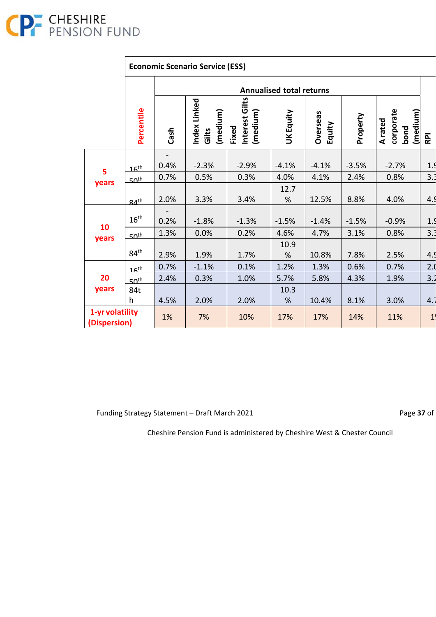

### **Economic Scenario Service (ESS)**

|                                 |                  | <b>Annualised total returns</b> |                                  |                                     |                  |                           |          |                                          |                |
|---------------------------------|------------------|---------------------------------|----------------------------------|-------------------------------------|------------------|---------------------------|----------|------------------------------------------|----------------|
|                                 | Percentile       | Cash                            | ndex Linked<br>(medium)<br>Gilts | Interest Gilts<br>(medium)<br>Fixed | <b>UK Equity</b> | <b>Overseas</b><br>Equity | Property | corporate<br>(medium)<br>A rated<br>bond | <b>RPI</b>     |
| 5<br>years                      | 16 <sup>th</sup> | 0.4%                            | $-2.3%$                          | $-2.9%$                             | $-4.1%$          | $-4.1%$                   | $-3.5%$  | $-2.7%$                                  | 1.9            |
|                                 | $50^{th}$        | 0.7%                            | 0.5%                             | 0.3%                                | 4.0%             | 4.1%                      | 2.4%     | 0.8%                                     | 3.3            |
|                                 |                  |                                 |                                  |                                     | 12.7             |                           |          |                                          |                |
|                                 | 24 <sup>th</sup> | 2.0%                            | 3.3%                             | 3.4%                                | %                | 12.5%                     | 8.8%     | 4.0%                                     | 4.9            |
| 10<br>years                     | 16 <sup>th</sup> | 0.2%                            | $-1.8%$                          | $-1.3%$                             | $-1.5%$          | $-1.4%$                   | $-1.5%$  | $-0.9%$                                  | 1.9            |
|                                 | 50 <sup>th</sup> | 1.3%                            | 0.0%                             | 0.2%                                | 4.6%             | 4.7%                      | 3.1%     | 0.8%                                     | 3.3            |
|                                 | 84 <sup>th</sup> | 2.9%                            | 1.9%                             | 1.7%                                | 10.9<br>%        | 10.8%                     | 7.8%     | 2.5%                                     | 4.9            |
| 20<br>years                     | 16 <sup>th</sup> | 0.7%                            | $-1.1%$                          | 0.1%                                | 1.2%             | 1.3%                      | 0.6%     | 0.7%                                     | 2.0            |
|                                 | 50 <sup>th</sup> | 2.4%                            | 0.3%                             | 1.0%                                | 5.7%             | 5.8%                      | 4.3%     | 1.9%                                     | 3.2            |
|                                 | 84t<br>h         | 4.5%                            | 2.0%                             | 2.0%                                | 10.3<br>%        | 10.4%                     | 8.1%     | 3.0%                                     | 4.7            |
| 1-yr volatility<br>(Dispersion) |                  | 1%                              | 7%                               | 10%                                 | 17%              | 17%                       | 14%      | 11%                                      | 1 <sup>′</sup> |

Funding Strategy Statement – Draft March 2021 **Page 37** of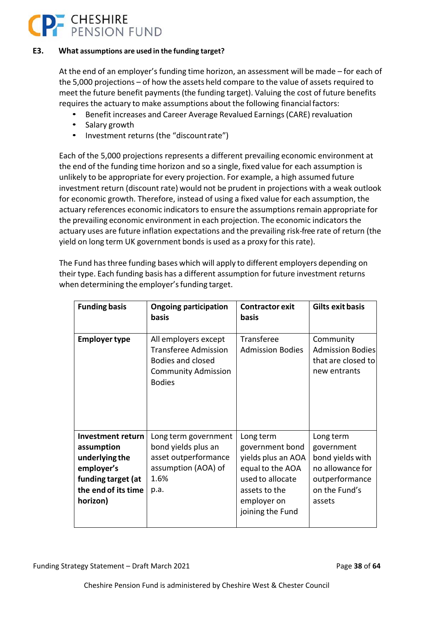# **P.** CHESHIRE

### **E3. What assumptions are used in the funding target?**

At the end of an employer's funding time horizon, an assessment will be made – for each of the 5,000 projections – of how the assets held compare to the value of assets required to meet the future benefit payments (the funding target). Valuing the cost of future benefits requires the actuary to make assumptions about the following financial factors:

- Benefit increases and Career Average Revalued Earnings (CARE) revaluation
- Salary growth
- Investment returns (the "discount rate")

Each of the 5,000 projections represents a different prevailing economic environment at the end of the funding time horizon and so a single, fixed value for each assumption is unlikely to be appropriate for every projection. For example, a high assumed future investment return (discount rate) would not be prudent in projections with a weak outlook for economic growth. Therefore, instead of using a fixed value for each assumption, the actuary references economic indicators to ensure the assumptions remain appropriate for the prevailing economic environment in each projection. The economic indicators the actuary uses are future inflation expectations and the prevailing risk‐free rate of return (the yield on long term UK government bonds is used as a proxy for this rate).

The Fund has three funding bases which will apply to different employers depending on their type. Each funding basis has a different assumption for future investment returns when determining the employer's funding target.

| <b>Funding basis</b>                                                                                                            | <b>Ongoing participation</b><br>basis                                                                                          | <b>Contractor exit</b><br>basis                                                                                                                | <b>Gilts exit basis</b>                                                                                      |
|---------------------------------------------------------------------------------------------------------------------------------|--------------------------------------------------------------------------------------------------------------------------------|------------------------------------------------------------------------------------------------------------------------------------------------|--------------------------------------------------------------------------------------------------------------|
| <b>Employer type</b>                                                                                                            | All employers except<br><b>Transferee Admission</b><br><b>Bodies and closed</b><br><b>Community Admission</b><br><b>Bodies</b> | Transferee<br><b>Admission Bodies</b>                                                                                                          | Community<br><b>Admission Bodies</b><br>that are closed to<br>new entrants                                   |
| <b>Investment return</b><br>assumption<br>underlying the<br>employer's<br>funding target (at<br>the end of its time<br>horizon) | Long term government<br>bond yields plus an<br>asset outperformance<br>assumption (AOA) of<br>1.6%<br>p.a.                     | Long term<br>government bond<br>yields plus an AOA<br>equal to the AOA<br>used to allocate<br>assets to the<br>employer on<br>joining the Fund | Long term<br>government<br>bond yields with<br>no allowance for<br>outperformance<br>on the Fund's<br>assets |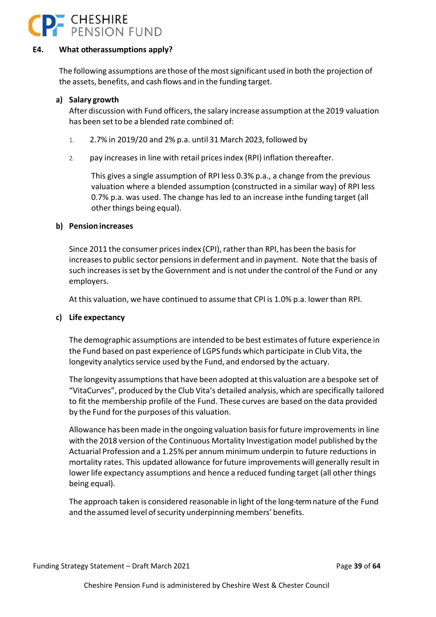

### **E4. What other assumptions apply?**

The following assumptions are those of the most significant used in both the projection of the assets, benefits, and cash flows and in the funding target.

### **a) Salary growth**

After discussion with Fund officers, the salary increase assumption at the 2019 valuation has been set to be a blended rate combined of:

- 1. 2.7% in 2019/20 and 2% p.a. until 31 March 2023, followed by
- 2. pay increases in line with retail prices index (RPI) inflation thereafter.

This gives a single assumption of RPI less 0.3% p.a., a change from the previous valuation where a blended assumption (constructed in a similar way) of RPI less 0.7% p.a. was used. The change has led to an increase in the funding target (all other things being equal).

### **b) Pension increases**

Since 2011 the consumer prices index (CPI), rather than RPI, has been the basis for increases to public sector pensions in deferment and in payment. Note that the basis of such increases is set by the Government and is not under the control of the Fund or any employers.

At this valuation, we have continued to assume that CPI is 1.0% p.a. lower than RPI.

### **c) Life expectancy**

The demographic assumptions are intended to be best estimates of future experience in the Fund based on past experience of LGPS funds which participate in Club Vita, the longevity analytics service used by the Fund, and endorsed by the actuary.

The longevity assumptions that have been adopted at this valuation are a bespoke set of "VitaCurves", produced by the Club Vita's detailed analysis, which are specifically tailored to fit the membership profile of the Fund. These curves are based on the data provided by the Fund for the purposes of this valuation.

Allowance has been made in the ongoing valuation basis for future improvements in line with the 2018 version of the Continuous Mortality Investigation model published by the Actuarial Profession and a 1.25% per annum minimum underpin to future reductions in mortality rates. This updated allowance for future improvements will generally result in lower life expectancy assumptions and hence a reduced funding target (all other things being equal).

The approach taken is considered reasonable in light of the long‐term nature of the Fund and the assumed level of security underpinning members' benefits.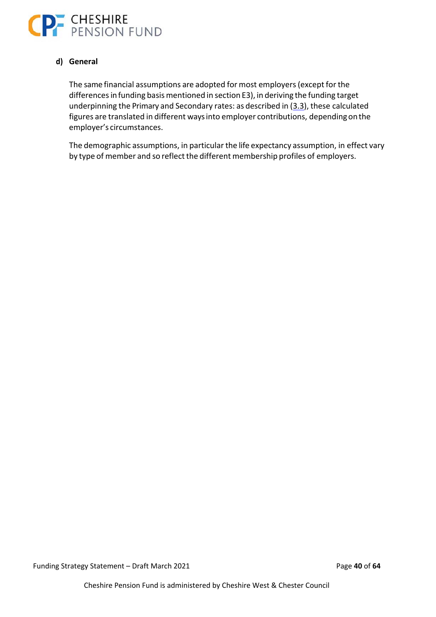

### **d) General**

The same financial assumptions are adopted for most employers (except for the differences in funding basis mentioned in section E3), in deriving the funding target underpinning the Primary and Secondary rates: as described in (3.3), these calculated figures are translated in different ways into employer contributions, depending on the employer's circumstances.

The demographic assumptions, in particular the life expectancy assumption, in effect vary by type of member and so reflect the different membership profiles of employers.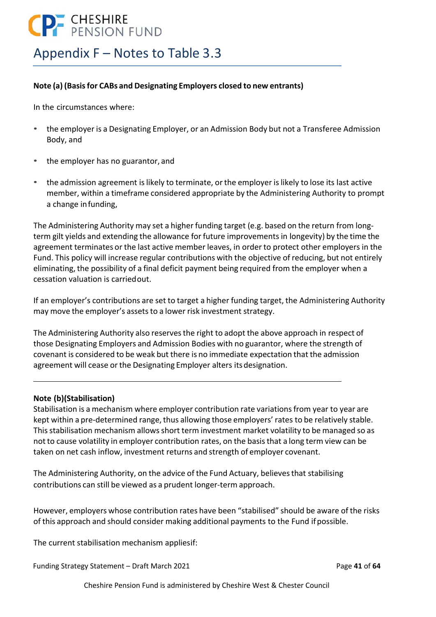### **CP** CHESHIRE

### Appendix F – Notes to Table 3.3

### **Note (a) (Basis for CABs and Designating Employers closed to new entrants)**

In the circumstances where:

- the employer is a Designating Employer, or an Admission Body but not a Transferee Admission Body, and
- the employer has no guarantor, and
- the admission agreement is likely to terminate, or the employer is likely to lose its last active member, within a timeframe considered appropriate by the Administering Authority to prompt a change in funding,

The Administering Authority may set a higher funding target (e.g. based on the return from long‐ term gilt yields and extending the allowance for future improvements in longevity) by the time the agreement terminates or the last active member leaves, in order to protect other employers in the Fund. This policy will increase regular contributions with the objective of reducing, but not entirely eliminating, the possibility of a final deficit payment being required from the employer when a cessation valuation is carried out.

If an employer's contributions are set to target a higher funding target, the Administering Authority may move the employer's assets to a lower risk investment strategy.

The Administering Authority also reserves the right to adopt the above approach in respect of those Designating Employers and Admission Bodies with no guarantor, where the strength of covenant is considered to be weak but there is no immediate expectation that the admission agreement will cease or the Designating Employer alters its designation.

### **Note (b)(Stabilisation)**

Stabilisation is a mechanism where employer contribution rate variations from year to year are kept within a pre-determined range, thus allowing those employers' rates to be relatively stable. This stabilisation mechanism allows short term investment market volatility to be managed so as not to cause volatility in employer contribution rates, on the basis that a long term view can be taken on net cash inflow, investment returns and strength of employer covenant.

The Administering Authority, on the advice of the Fund Actuary, believes that stabilising contributions can still be viewed as a prudent longer‐term approach.

However, employers whose contribution rates have been "stabilised" should be aware of the risks of this approach and should consider making additional payments to the Fund if possible.

The current stabilisation mechanism appliesif:

Funding Strategy Statement – Draft March 2021 Page **41** of **64**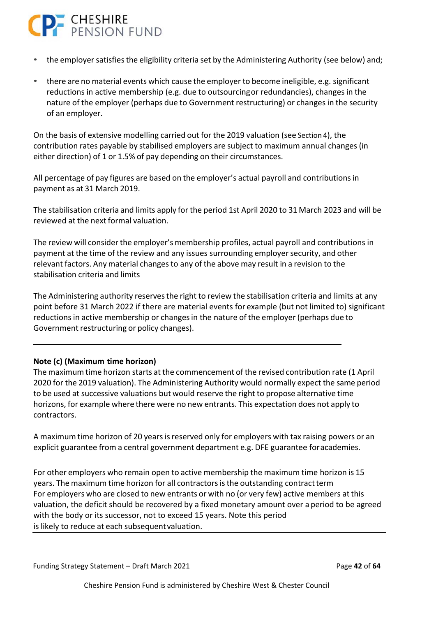# **P** CHESHIRE

- the employer satisfies the eligibility criteria set by the Administering Authority (see below) and;
- there are no material events which cause the employer to become ineligible, e.g. significant reductions in active membership (e.g. due to outsourcing or redundancies), changes in the nature of the employer (perhaps due to Government restructuring) or changes in the security of an employer.

On the basis of extensive modelling carried out for the 2019 valuation (see Section 4), the contribution rates payable by stabilised employers are subject to maximum annual changes (in either direction) of 1 or 1.5% of pay depending on their circumstances.

All percentage of pay figures are based on the employer's actual payroll and contributions in payment as at 31 March 2019.

The stabilisation criteria and limits apply for the period 1st April 2020 to 31 March 2023 and will be reviewed at the next formal valuation.

The review will consider the employer's membership profiles, actual payroll and contributions in payment at the time of the review and any issues surrounding employer security, and other relevant factors. Any material changes to any of the above may result in a revision to the stabilisation criteria and limits

The Administering authority reserves the right to review the stabilisation criteria and limits at any point before 31 March 2022 if there are material events for example (but not limited to) significant reductions in active membership or changes in the nature of the employer (perhaps due to Government restructuring or policy changes).

### **Note (c) (Maximum time horizon)**

The maximum time horizon starts at the commencement of the revised contribution rate (1 April 2020 for the 2019 valuation). The Administering Authority would normally expect the same period to be used at successive valuations but would reserve the right to propose alternative time horizons, for example where there were no new entrants. This expectation does not apply to contractors.

A maximum time horizon of 20 years is reserved only for employers with tax raising powers or an explicit guarantee from a central government department e.g. DFE guarantee for academies.

For other employers who remain open to active membership the maximum time horizon is 15 years. The maximum time horizon for all contractors is the outstanding contract term For employers who are closed to new entrants or with no (or very few) active members at this valuation, the deficit should be recovered by a fixed monetary amount over a period to be agreed with the body or its successor, not to exceed 15 years. Note this period is likely to reduce at each subsequent valuation.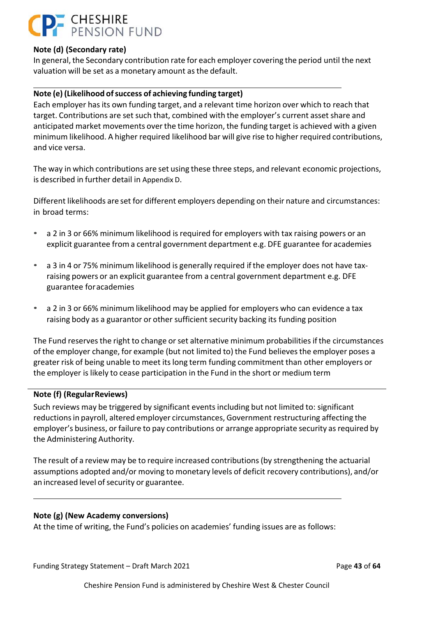### **CHESHIRE**<br>PENSION FUND

### **Note (d) (Secondary rate)**

In general, the Secondary contribution rate for each employer covering the period until the next valuation will be set as a monetary amount as the default.

### **Note (e) (Likelihood of success of achieving funding target)**

Each employer has its own funding target, and a relevant time horizon over which to reach that target. Contributions are set such that, combined with the employer's current asset share and anticipated market movements over the time horizon, the funding target is achieved with a given minimum likelihood. A higher required likelihood bar will give rise to higher required contributions, and vice versa.

The way in which contributions are set using these three steps, and relevant economic projections, is described in further detail in Appendix D.

Different likelihoods are set for different employers depending on their nature and circumstances: in broad terms:

- a 2 in 3 or 66% minimum likelihood is required for employers with tax raising powers or an explicit guarantee from a central government department e.g. DFE guarantee for academies
- a 3 in 4 or 75% minimum likelihood is generally required if the employer does not have taxraising powers or an explicit guarantee from a central government department e.g. DFE guarantee for academies
- a 2 in 3 or 66% minimum likelihood may be applied for employers who can evidence a tax raising body as a guarantor or other sufficient security backing its funding position

The Fund reserves the right to change or set alternative minimum probabilities if the circumstances of the employer change, for example (but not limited to) the Fund believes the employer poses a greater risk of being unable to meet its long term funding commitment than other employers or the employer is likely to cease participation in the Fund in the short or medium term

### **Note (f) (Regular Reviews)**

Such reviews may be triggered by significant events including but not limited to: significant reductions in payroll, altered employer circumstances, Government restructuring affecting the employer's business, or failure to pay contributions or arrange appropriate security as required by the Administering Authority.

The result of a review may be to require increased contributions (by strengthening the actuarial assumptions adopted and/or moving to monetary levels of deficit recovery contributions), and/or an increased level of security or guarantee.

### **Note (g) (New Academy conversions)**

At the time of writing, the Fund's policies on academies' funding issues are as follows:

Funding Strategy Statement – Draft March 2021 Page **43** of **64**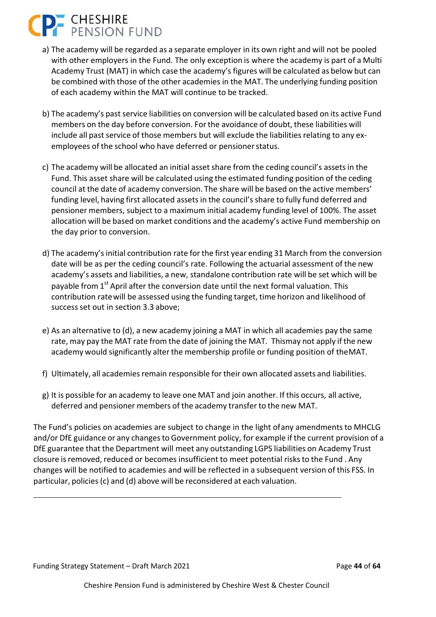# **P.** CHESHIRE

- a) The academy will be regarded as a separate employer in its own right and will not be pooled with other employers in the Fund. The only exception is where the academy is part of a Multi Academy Trust (MAT) in which case the academy's figures will be calculated as below but can be combined with those of the other academies in the MAT. The underlying funding position of each academy within the MAT will continue to be tracked.
- b) The academy's past service liabilities on conversion will be calculated based on its active Fund members on the day before conversion. For the avoidance of doubt, these liabilities will include all past service of those members but will exclude the liabilities relating to any ex‐ employees of the school who have deferred or pensioner status.
- c) The academy will be allocated an initial asset share from the ceding council's assets in the Fund. This asset share will be calculated using the estimated funding position of the ceding council at the date of academy conversion. The share will be based on the active members' funding level, having first allocated assets in the council's share to fully fund deferred and pensioner members, subject to a maximum initial academy funding level of 100%. The asset allocation will be based on market conditions and the academy's active Fund membership on the day prior to conversion.
- d) The academy's initial contribution rate for the first year ending 31 March from the conversion date will be as per the ceding council's rate. Following the actuarial assessment of the new academy's assets and liabilities, a new, standalone contribution rate will be set which will be payable from  $1<sup>st</sup>$  April after the conversion date until the next formal valuation. This contribution rate will be assessed using the funding target, time horizon and likelihood of success set out in section 3.3 above;
- e) As an alternative to (d), a new academy joining a MAT in which all academies pay the same rate, may pay the MAT rate from the date of joining the MAT. Thismay not apply if the new academy would significantly alter the membership profile or funding position of the MAT.
- f) Ultimately, all academies remain responsible for their own allocated assets and liabilities.
- g) It is possible for an academy to leave one MAT and join another. If this occurs, all active, deferred and pensioner members of the academy transfer to the new MAT.

The Fund's policies on academies are subject to change in the light of any amendments to MHCLG and/or DfE guidance or any changes to Government policy, for example if the current provision of a DfE guarantee that the Department will meet any outstanding LGPS liabilities on Academy Trust closure is removed, reduced or becomes insufficient to meet potential risks to the Fund . Any changes will be notified to academies and will be reflected in a subsequent version of this FSS. In particular, policies (c) and (d) above will be reconsidered at each valuation.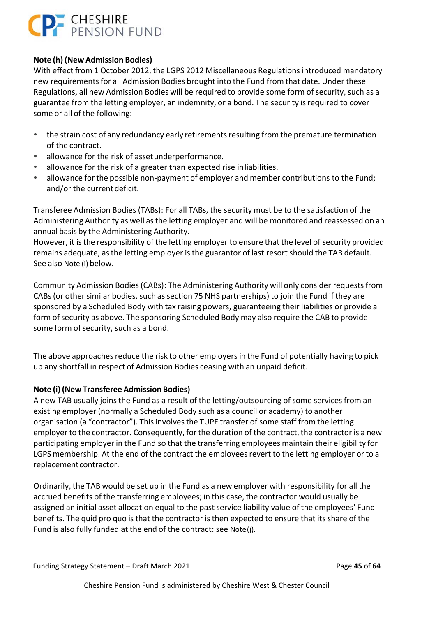### **CP-** CHESHIRE

### **Note (h) (New Admission Bodies)**

With effect from 1 October 2012, the LGPS 2012 Miscellaneous Regulations introduced mandatory new requirements for all Admission Bodies brought into the Fund from that date. Under these Regulations, all new Admission Bodies will be required to provide some form of security, such as a guarantee from the letting employer, an indemnity, or a bond. The security is required to cover some or all of the following:

- the strain cost of any redundancy early retirements resulting from the premature termination of the contract.
- allowance for the risk of asset underperformance.
- allowance for the risk of a greater than expected rise in liabilities.
- allowance for the possible non‐payment of employer and member contributions to the Fund; and/or the current deficit.

Transferee Admission Bodies (TABs): For all TABs, the security must be to the satisfaction of the Administering Authority as well as the letting employer and will be monitored and reassessed on an annual basis by the Administering Authority.

However, it is the responsibility of the letting employer to ensure that the level of security provided remains adequate, as the letting employer is the guarantor of last resort should the TAB default. See also Note (i) below.

Community Admission Bodies (CABs): The Administering Authority will only consider requests from CABs (or other similar bodies, such as section 75 NHS partnerships) to join the Fund if they are sponsored by a Scheduled Body with tax raising powers, guaranteeing their liabilities or provide a form of security as above. The sponsoring Scheduled Body may also require the CAB to provide some form of security, such as a bond.

The above approaches reduce the risk to other employers in the Fund of potentially having to pick up any shortfall in respect of Admission Bodies ceasing with an unpaid deficit.

### **Note (i) (New Transferee Admission Bodies)**

A new TAB usually joins the Fund as a result of the letting/outsourcing of some services from an existing employer (normally a Scheduled Body such as a council or academy) to another organisation (a "contractor"). This involves the TUPE transfer of some staff from the letting employer to the contractor. Consequently, for the duration of the contract, the contractor is a new participating employer in the Fund so that the transferring employees maintain their eligibility for LGPS membership. At the end of the contract the employees revert to the letting employer or to a replacement contractor.

Ordinarily, the TAB would be set up in the Fund as a new employer with responsibility for all the accrued benefits of the transferring employees; in this case, the contractor would usually be assigned an initial asset allocation equal to the past service liability value of the employees' Fund benefits. The quid pro quo is that the contractor is then expected to ensure that its share of the Fund is also fully funded at the end of the contract: see Note (j).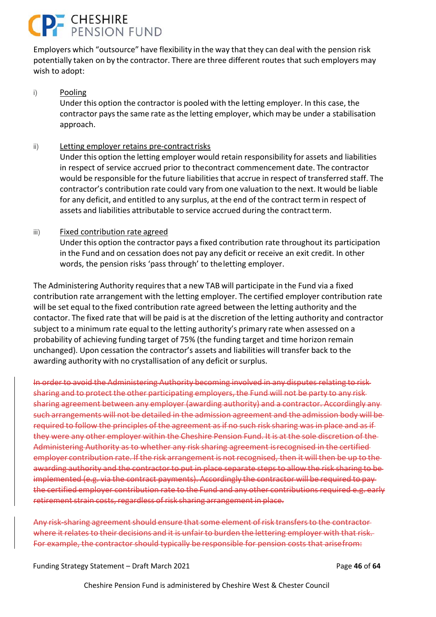# **P. CHESHIRE**<br>PENSION FUND

Employers which "outsource" have flexibility in the way that they can deal with the pension risk potentially taken on by the contractor. There are three different routes that such employers may wish to adopt:

### i) Pooling

Under this option the contractor is pooled with the letting employer. In this case, the contractor pays the same rate as the letting employer, which may be under a stabilisation approach.

### ii) Letting employer retains pre‐contract risks

Under this option the letting employer would retain responsibility for assets and liabilities in respect of service accrued prior to the contract commencement date. The contractor would be responsible for the future liabilities that accrue in respect of transferred staff. The contractor's contribution rate could vary from one valuation to the next. It would be liable for any deficit, and entitled to any surplus, at the end of the contract term in respect of assets and liabilities attributable to service accrued during the contract term.

### iii) Fixed contribution rate agreed

Under this option the contractor pays a fixed contribution rate throughout its participation in the Fund and on cessation does not pay any deficit or receive an exit credit. In other words, the pension risks 'pass through' to the letting employer.

The Administering Authority requires that a new TAB will participate in the Fund via a fixed contribution rate arrangement with the letting employer. The certified employer contribution rate will be set equal to the fixed contribution rate agreed between the letting authority and the contactor. The fixed rate that will be paid is at the discretion of the letting authority and contractor subject to a minimum rate equal to the letting authority's primary rate when assessed on a probability of achieving funding target of 75% (the funding target and time horizon remain unchanged). Upon cessation the contractor's assets and liabilities will transfer back to the awarding authority with no crystallisation of any deficit or surplus.

In order to avoid the Administering Authority becoming involved in any disputes relating to risk sharing and to protect the other participating employers, the Fund will not be party to any risk sharing agreement between any employer (awarding authority) and a contractor. Accordingly any such arrangements will not be detailed in the admission agreement and the admission body will be required to follow the principles of the agreement as if no such risk sharing was in place and as if they were any other employer within the Cheshire Pension Fund. It is at the sole discretion of the Administering Authority as to whether any risk sharing agreement is recognised in the certified employer contribution rate. If the risk arrangement is not recognised, then it will then be up to the awarding authority and the contractor to put in place separate steps to allow the risk sharing to be implemented (e.g. via the contract payments). Accordingly the contractor will be required to pay the certified employer contribution rate to the Fund and any other contributions required e.g. early retirement strain costs, regardless of risk sharing arrangement in place.

Any risk‐sharing agreement should ensure that some element of risk transfers to the contractor where it relates to their decisions and it is unfair to burden the lettering employer with that risk. For example, the contractor should typically be responsible for pension costs that arise from:

Funding Strategy Statement – Draft March 2021 Page **46** of **64**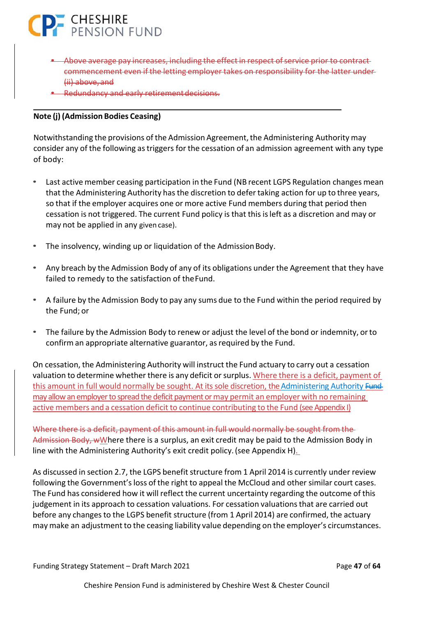

- Above average pay increases, including the effect in respect of service prior to contract commencement even if the letting employer takes on responsibility for the latter under (ii) above, and
- Redundancy and early retirement decisions.

### **Note (j) (Admission Bodies Ceasing)**

Notwithstanding the provisions of the Admission Agreement, the Administering Authority may consider any of the following as triggers for the cessation of an admission agreement with any type of body:

- Last active member ceasing participation in the Fund (NB recent LGPS Regulation changes mean that the Administering Authority has the discretion to defer taking action for up to three years, so that if the employer acquires one or more active Fund members during that period then cessation is not triggered. The current Fund policy is that this is left as a discretion and may or may not be applied in any given case).
- The insolvency, winding up or liquidation of the Admission Body.
- Any breach by the Admission Body of any of its obligations under the Agreement that they have failed to remedy to the satisfaction of the Fund.
- A failure by the Admission Body to pay any sums due to the Fund within the period required by the Fund; or
- The failure by the Admission Body to renew or adjust the level of the bond or indemnity, or to confirm an appropriate alternative guarantor, as required by the Fund.

On cessation, the Administering Authority will instruct the Fund actuary to carry out a cessation valuation to determine whether there is any deficit or surplus. Where there is a deficit, payment of this amount in full would normally be sought. At its sole discretion, the Administering Authority Fundmay allow an employer to spread the deficit payment or may permit an employer with no remaining active members and a cessation deficit to continue contributing to the Fund (see Appendix I)

Where there is a deficit, payment of this amount in full would normally be sought from the Admission Body, wWhere there is a surplus, an exit credit may be paid to the Admission Body in line with the Administering Authority's exit credit policy. (see Appendix H).

As discussed in section 2.7, the LGPS benefit structure from 1 April 2014 is currently under review following the Government's loss of the right to appeal the McCloud and other similar court cases. The Fund has considered how it will reflect the current uncertainty regarding the outcome of this judgement in its approach to cessation valuations. For cessation valuations that are carried out before any changes to the LGPS benefit structure (from 1 April 2014) are confirmed, the actuary may make an adjustment to the ceasing liability value depending on the employer's circumstances.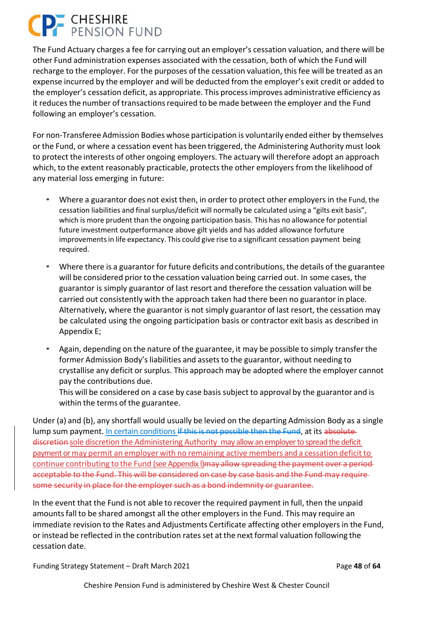# **P.** CHESHIRE

The Fund Actuary charges a fee for carrying out an employer's cessation valuation, and there will be other Fund administration expenses associated with the cessation, both of which the Fund will recharge to the employer. For the purposes of the cessation valuation, this fee will be treated as an expense incurred by the employer and will be deducted from the employer's exit credit or added to the employer's cessation deficit, as appropriate. This process improves administrative efficiency as it reduces the number of transactions required to be made between the employer and the Fund following an employer's cessation.

For non‐Transferee Admission Bodies whose participation is voluntarily ended either by themselves or the Fund, or where a cessation event has been triggered, the Administering Authority must look to protect the interests of other ongoing employers. The actuary will therefore adopt an approach which, to the extent reasonably practicable, protects the other employers from the likelihood of any material loss emerging in future:

- Where a guarantor does not exist then, in order to protect other employers in the Fund, the cessation liabilities and final surplus/deficit will normally be calculated using a "gilts exit basis", which is more prudent than the ongoing participation basis. This has no allowance for potential future investment outperformance above gilt yields and has added allowance for future improvements in life expectancy. This could give rise to a significant cessation payment being required.
- Where there is a guarantor for future deficits and contributions, the details of the guarantee will be considered prior to the cessation valuation being carried out. In some cases, the guarantor is simply guarantor of last resort and therefore the cessation valuation will be carried out consistently with the approach taken had there been no guarantor in place. Alternatively, where the guarantor is not simply guarantor of last resort, the cessation may be calculated using the ongoing participation basis or contractor exit basis as described in Appendix E;
- Again, depending on the nature of the guarantee, it may be possible to simply transfer the former Admission Body's liabilities and assets to the guarantor, without needing to crystallise any deficit or surplus. This approach may be adopted where the employer cannot pay the contributions due.

This will be considered on a case by case basis subject to approval by the guarantor and is within the terms of the guarantee.

Under (a) and (b), any shortfall would usually be levied on the departing Admission Body as a single lump sum payment. In certain conditions If this is not possible then the Fund, at its absolute discretion sole discretion the Administering Authority may allow an employer to spread the deficit payment or may permit an employer with no remaining active members and a cessation deficit to continue contributing to the Fund (see Appendix I) may allow spreading the payment over a periodacceptable to the Fund. This will be considered on case by case basis and the Fund may require some security in place for the employer such as a bond indemnity or guarantee.

In the event that the Fund is not able to recover the required payment in full, then the unpaid amounts fall to be shared amongst all the other employers in the Fund. This may require an immediate revision to the Rates and Adjustments Certificate affecting other employers in the Fund, or instead be reflected in the contribution rates set at the next formal valuation following the cessation date.

Funding Strategy Statement – Draft March 2021 Page **48** of **64**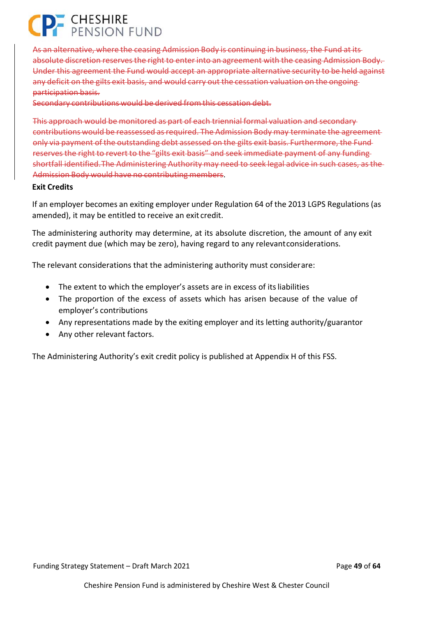# **P** CHESHIRE<br>PENSION FUND

As an alternative, where the ceasing Admission Body is continuing in business, the Fund at its absolute discretion reserves the right to enter into an agreement with the ceasing Admission Body. Under this agreement the Fund would accept an appropriate alternative security to be held against any deficit on the gilts exit basis, and would carry out the cessation valuation on the ongoing participation basis.

Secondary contributions would be derived from this cessation debt.

This approach would be monitored as part of each triennial formal valuation and secondary contributions would be reassessed as required. The Admission Body may terminate the agreement only via payment of the outstanding debt assessed on the gilts exit basis. Furthermore, the Fund reserves the right to revert to the "gilts exit basis" and seek immediate payment of any funding shortfall identified. The Administering Authority may need to seek legal advice in such cases, as the Admission Body would have no contributing members.

#### **Exit Credits**

If an employer becomes an exiting employer under Regulation 64 of the 2013 LGPS Regulations (as amended), it may be entitled to receive an exit credit.

The administering authority may determine, at its absolute discretion, the amount of any exit credit payment due (which may be zero), having regard to any relevant considerations.

The relevant considerations that the administering authority must consider are:

- The extent to which the employer's assets are in excess of its liabilities
- The proportion of the excess of assets which has arisen because of the value of employer's contributions
- Any representations made by the exiting employer and its letting authority/guarantor
- Any other relevant factors.

The Administering Authority's exit credit policy is published at Appendix H of this FSS.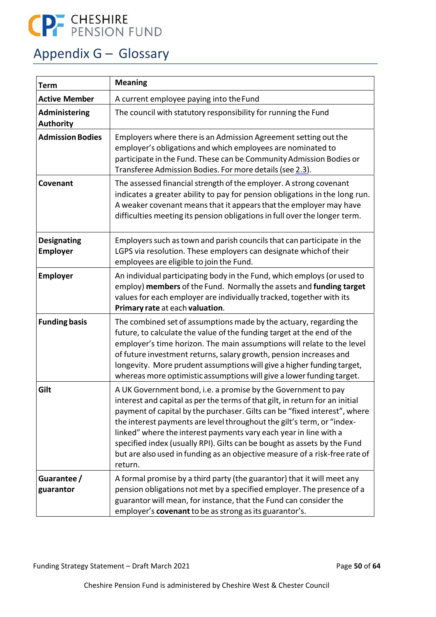

### Appendix G – Glossary

| <b>Meaning</b><br><b>Term</b>         |                                                                                                                                                                                                                                                                                                                                                                                                                                                                                                                                                 |
|---------------------------------------|-------------------------------------------------------------------------------------------------------------------------------------------------------------------------------------------------------------------------------------------------------------------------------------------------------------------------------------------------------------------------------------------------------------------------------------------------------------------------------------------------------------------------------------------------|
| <b>Active Member</b>                  | A current employee paying into the Fund                                                                                                                                                                                                                                                                                                                                                                                                                                                                                                         |
| Administering<br><b>Authority</b>     | The council with statutory responsibility for running the Fund                                                                                                                                                                                                                                                                                                                                                                                                                                                                                  |
| <b>Admission Bodies</b>               | Employers where there is an Admission Agreement setting out the<br>employer's obligations and which employees are nominated to<br>participate in the Fund. These can be Community Admission Bodies or<br>Transferee Admission Bodies. For more details (see 2.3).                                                                                                                                                                                                                                                                               |
| Covenant                              | The assessed financial strength of the employer. A strong covenant<br>indicates a greater ability to pay for pension obligations in the long run.<br>A weaker covenant means that it appears that the employer may have<br>difficulties meeting its pension obligations in full over the longer term.                                                                                                                                                                                                                                           |
| <b>Designating</b><br><b>Employer</b> | Employers such as town and parish councils that can participate in the<br>LGPS via resolution. These employers can designate which of their<br>employees are eligible to join the Fund.                                                                                                                                                                                                                                                                                                                                                         |
| <b>Employer</b>                       | An individual participating body in the Fund, which employs (or used to<br>employ) members of the Fund. Normally the assets and funding target<br>values for each employer are individually tracked, together with its<br>Primary rate at each valuation.                                                                                                                                                                                                                                                                                       |
| <b>Funding basis</b>                  | The combined set of assumptions made by the actuary, regarding the<br>future, to calculate the value of the funding target at the end of the<br>employer's time horizon. The main assumptions will relate to the level<br>of future investment returns, salary growth, pension increases and<br>longevity. More prudent assumptions will give a higher funding target,<br>whereas more optimistic assumptions will give a lower funding target.                                                                                                 |
| Gilt                                  | A UK Government bond, i.e. a promise by the Government to pay<br>interest and capital as per the terms of that gilt, in return for an initial<br>payment of capital by the purchaser. Gilts can be "fixed interest", where<br>the interest payments are level throughout the gilt's term, or "index-<br>linked" where the interest payments vary each year in line with a<br>specified index (usually RPI). Gilts can be bought as assets by the Fund<br>but are also used in funding as an objective measure of a risk-free rate of<br>return. |
| Guarantee/<br>guarantor               | A formal promise by a third party (the guarantor) that it will meet any<br>pension obligations not met by a specified employer. The presence of a<br>guarantor will mean, for instance, that the Fund can consider the<br>employer's covenant to be as strong as its guarantor's.                                                                                                                                                                                                                                                               |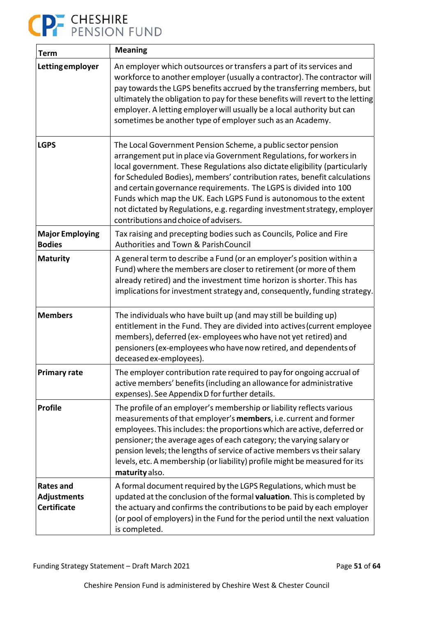# CP CHESHIRE<br>PENSION FUND

| <b>Term</b>                                                  | <b>Meaning</b>                                                                                                                                                                                                                                                                                                                                                                                                                                                                                                                                                 |
|--------------------------------------------------------------|----------------------------------------------------------------------------------------------------------------------------------------------------------------------------------------------------------------------------------------------------------------------------------------------------------------------------------------------------------------------------------------------------------------------------------------------------------------------------------------------------------------------------------------------------------------|
| Letting employer                                             | An employer which outsources or transfers a part of its services and<br>workforce to another employer (usually a contractor). The contractor will<br>pay towards the LGPS benefits accrued by the transferring members, but<br>ultimately the obligation to pay for these benefits will revert to the letting<br>employer. A letting employer will usually be a local authority but can<br>sometimes be another type of employer such as an Academy.                                                                                                           |
| <b>LGPS</b>                                                  | The Local Government Pension Scheme, a public sector pension<br>arrangement put in place via Government Regulations, for workers in<br>local government. These Regulations also dictate eligibility (particularly<br>for Scheduled Bodies), members' contribution rates, benefit calculations<br>and certain governance requirements. The LGPS is divided into 100<br>Funds which map the UK. Each LGPS Fund is autonomous to the extent<br>not dictated by Regulations, e.g. regarding investment strategy, employer<br>contributions and choice of advisers. |
| <b>Major Employing</b><br><b>Bodies</b>                      | Tax raising and precepting bodies such as Councils, Police and Fire<br>Authorities and Town & Parish Council                                                                                                                                                                                                                                                                                                                                                                                                                                                   |
| <b>Maturity</b>                                              | A general term to describe a Fund (or an employer's position within a<br>Fund) where the members are closer to retirement (or more of them<br>already retired) and the investment time horizon is shorter. This has<br>implications for investment strategy and, consequently, funding strategy.                                                                                                                                                                                                                                                               |
| <b>Members</b>                                               | The individuals who have built up (and may still be building up)<br>entitlement in the Fund. They are divided into actives (current employee<br>members), deferred (ex-employees who have not yet retired) and<br>pensioners (ex-employees who have now retired, and dependents of<br>deceased ex-employees).                                                                                                                                                                                                                                                  |
| <b>Primary rate</b>                                          | The employer contribution rate required to pay for ongoing accrual of<br>active members' benefits (including an allowance for administrative<br>expenses). See Appendix D for further details.                                                                                                                                                                                                                                                                                                                                                                 |
| <b>Profile</b>                                               | The profile of an employer's membership or liability reflects various<br>measurements of that employer's members, i.e. current and former<br>employees. This includes: the proportions which are active, deferred or<br>pensioner; the average ages of each category; the varying salary or<br>pension levels; the lengths of service of active members vs their salary<br>levels, etc. A membership (or liability) profile might be measured for its<br>maturity also.                                                                                        |
| <b>Rates and</b><br><b>Adjustments</b><br><b>Certificate</b> | A formal document required by the LGPS Regulations, which must be<br>updated at the conclusion of the formal valuation. This is completed by<br>the actuary and confirms the contributions to be paid by each employer<br>(or pool of employers) in the Fund for the period until the next valuation<br>is completed.                                                                                                                                                                                                                                          |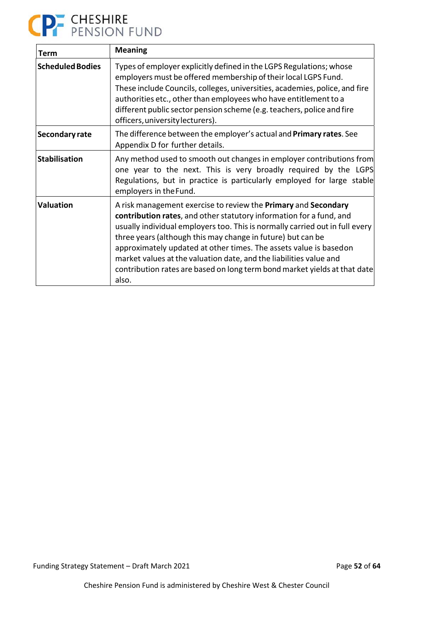

| Term                    | <b>Meaning</b>                                                                                                                                                                                                                                                                                                                                                                                                                                                                                                                      |
|-------------------------|-------------------------------------------------------------------------------------------------------------------------------------------------------------------------------------------------------------------------------------------------------------------------------------------------------------------------------------------------------------------------------------------------------------------------------------------------------------------------------------------------------------------------------------|
| <b>Scheduled Bodies</b> | Types of employer explicitly defined in the LGPS Regulations; whose<br>employers must be offered membership of their local LGPS Fund.<br>These include Councils, colleges, universities, academies, police, and fire<br>authorities etc., other than employees who have entitlement to a<br>different public sector pension scheme (e.g. teachers, police and fire<br>officers, university lecturers).                                                                                                                              |
| Secondary rate          | The difference between the employer's actual and Primary rates. See<br>Appendix D for further details.                                                                                                                                                                                                                                                                                                                                                                                                                              |
| <b>Stabilisation</b>    | Any method used to smooth out changes in employer contributions from<br>one year to the next. This is very broadly required by the LGPS<br>Regulations, but in practice is particularly employed for large stable<br>employers in the Fund.                                                                                                                                                                                                                                                                                         |
| <b>Valuation</b>        | A risk management exercise to review the <b>Primary</b> and <b>Secondary</b><br>contribution rates, and other statutory information for a fund, and<br>usually individual employers too. This is normally carried out in full every<br>three years (although this may change in future) but can be<br>approximately updated at other times. The assets value is basedon<br>market values at the valuation date, and the liabilities value and<br>contribution rates are based on long term bond market yields at that date<br>also. |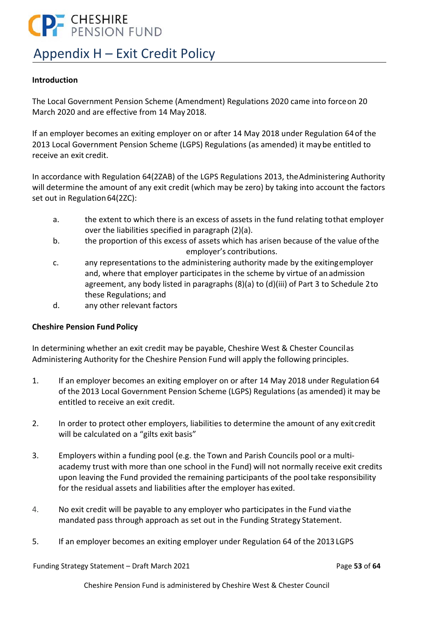# **CP-** CHESHIRE

### Appendix H – Exit Credit Policy

### **Introduction**

The Local Government Pension Scheme (Amendment) Regulations 2020 came into force on 20 March 2020 and are effective from 14 May 2018.

If an employer becomes an exiting employer on or after 14 May 2018 under Regulation 64 of the 2013 Local Government Pension Scheme (LGPS) Regulations (as amended) it may be entitled to receive an exit credit.

In accordance with Regulation 64(2ZAB) of the LGPS Regulations 2013, the Administering Authority will determine the amount of any exit credit (which may be zero) by taking into account the factors set out in Regulation 64(2ZC):

- a. the extent to which there is an excess of assets in the fund relating to that employer over the liabilities specified in paragraph (2)(a).
- b. the proportion of this excess of assets which has arisen because of the value of the employer's contributions.
- c. any representations to the administering authority made by the exiting employer and, where that employer participates in the scheme by virtue of an admission agreement, any body listed in paragraphs (8)(a) to (d)(iii) of Part 3 to Schedule 2 to these Regulations; and
- d. any other relevant factors

### **Cheshire Pension Fund Policy**

In determining whether an exit credit may be payable, Cheshire West & Chester Council as Administering Authority for the Cheshire Pension Fund will apply the following principles.

- 1. If an employer becomes an exiting employer on or after 14 May 2018 under Regulation 64 of the 2013 Local Government Pension Scheme (LGPS) Regulations (as amended) it may be entitled to receive an exit credit.
- 2. In order to protect other employers, liabilities to determine the amount of any exit credit will be calculated on a "gilts exit basis"
- 3. Employers within a funding pool (e.g. the Town and Parish Councils pool or a multi‐ academy trust with more than one school in the Fund) will not normally receive exit credits upon leaving the Fund provided the remaining participants of the pool take responsibility for the residual assets and liabilities after the employer has exited.
- 4. No exit credit will be payable to any employer who participates in the Fund via the mandated pass through approach as set out in the Funding Strategy Statement.
- 5. If an employer becomes an exiting employer under Regulation 64 of the 2013 LGPS

Funding Strategy Statement – Draft March 2021 Page **53** of **64**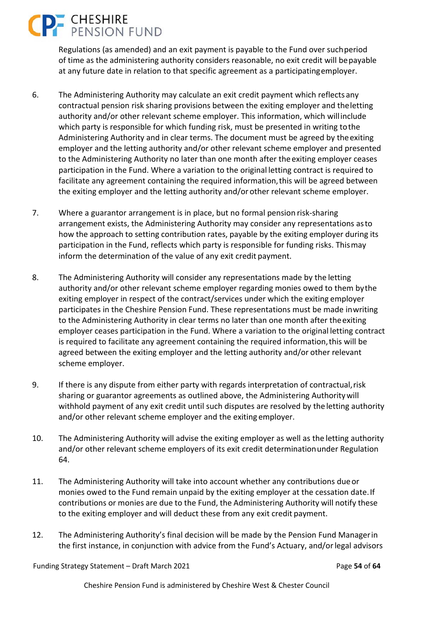# **P.** CHESHIRE

Regulations (as amended) and an exit payment is payable to the Fund over such period of time as the administering authority considers reasonable, no exit credit will be payable at any future date in relation to that specific agreement as a participating employer.

- 6. The Administering Authority may calculate an exit credit payment which reflects any contractual pension risk sharing provisions between the exiting employer and the letting authority and/or other relevant scheme employer. This information, which will include which party is responsible for which funding risk, must be presented in writing to the Administering Authority and in clear terms. The document must be agreed by the exiting employer and the letting authority and/or other relevant scheme employer and presented to the Administering Authority no later than one month after the exiting employer ceases participation in the Fund. Where a variation to the original letting contract is required to facilitate any agreement containing the required information, this will be agreed between the exiting employer and the letting authority and/or other relevant scheme employer.
- 7. Where a guarantor arrangement is in place, but no formal pension risk‐sharing arrangement exists, the Administering Authority may consider any representations as to how the approach to setting contribution rates, payable by the exiting employer during its participation in the Fund, reflects which party is responsible for funding risks. This may inform the determination of the value of any exit credit payment.
- 8. The Administering Authority will consider any representations made by the letting authority and/or other relevant scheme employer regarding monies owed to them by the exiting employer in respect of the contract/services under which the exiting employer participates in the Cheshire Pension Fund. These representations must be made in writing to the Administering Authority in clear terms no later than one month after the exiting employer ceases participation in the Fund. Where a variation to the original letting contract is required to facilitate any agreement containing the required information, this will be agreed between the exiting employer and the letting authority and/or other relevant scheme employer.
- 9. If there is any dispute from either party with regards interpretation of contractual, risk sharing or guarantor agreements as outlined above, the Administering Authority will withhold payment of any exit credit until such disputes are resolved by the letting authority and/or other relevant scheme employer and the exiting employer.
- 10. The Administering Authority will advise the exiting employer as well as the letting authority and/or other relevant scheme employers of its exit credit determination under Regulation 64.
- 11. The Administering Authority will take into account whether any contributions due or monies owed to the Fund remain unpaid by the exiting employer at the cessation date. If contributions or monies are due to the Fund, the Administering Authority will notify these to the exiting employer and will deduct these from any exit credit payment.
- 12. The Administering Authority's final decision will be made by the Pension Fund Manager in the first instance, in conjunction with advice from the Fund's Actuary, and/or legal advisors

Funding Strategy Statement – Draft March 2021 Page **54** of **64**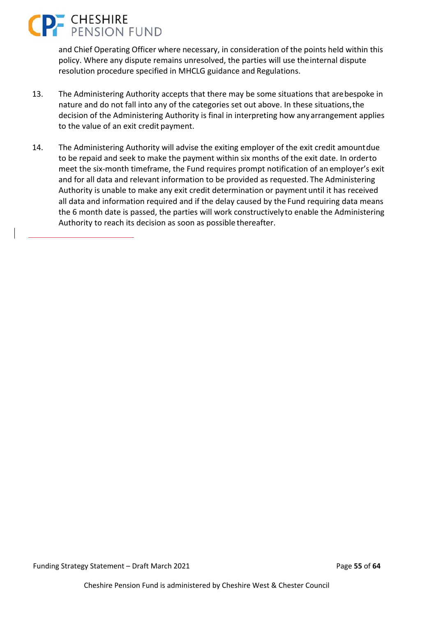# **CHESHIRE**<br>PENSION FUND

and Chief Operating Officer where necessary, in consideration of the points held within this policy. Where any dispute remains unresolved, the parties will use the internal dispute resolution procedure specified in MHCLG guidance and Regulations.

- 13. The Administering Authority accepts that there may be some situations that are bespoke in nature and do not fall into any of the categories set out above. In these situations, the decision of the Administering Authority is final in interpreting how any arrangement applies to the value of an exit credit payment.
- 14. The Administering Authority will advise the exiting employer of the exit credit amount due to be repaid and seek to make the payment within six months of the exit date. In order to meet the six‐month timeframe, the Fund requires prompt notification of an employer's exit and for all data and relevant information to be provided as requested. The Administering Authority is unable to make any exit credit determination or payment until it has received all data and information required and if the delay caused by the Fund requiring data means the 6 month date is passed, the parties will work constructively to enable the Administering Authority to reach its decision as soon as possible thereafter.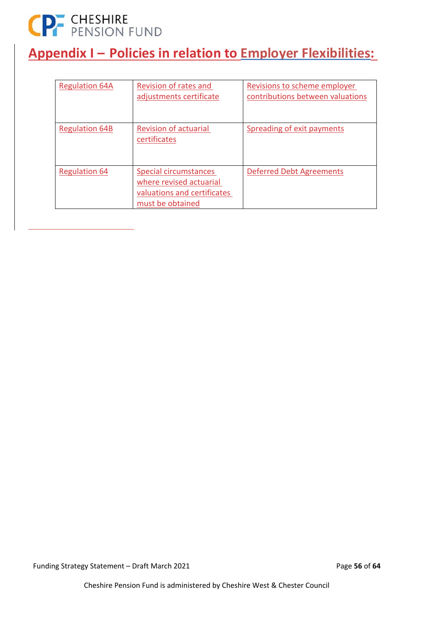# CP CHESHIRE<br>
PENSION FUND

### **Appendix I – Policies in relation to Employer Flexibilities:**

| <b>Regulation 64A</b> | Revision of rates and<br>adjustments certificate                                                           | Revisions to scheme employer<br>contributions between valuations |
|-----------------------|------------------------------------------------------------------------------------------------------------|------------------------------------------------------------------|
| <b>Regulation 64B</b> | <b>Revision of actuarial</b><br>certificates                                                               | Spreading of exit payments                                       |
| <b>Regulation 64</b>  | <b>Special circumstances</b><br>where revised actuarial<br>valuations and certificates<br>must be obtained | <b>Deferred Debt Agreements</b>                                  |

Funding Strategy Statement – Draft March 2021 **Page 56** of 64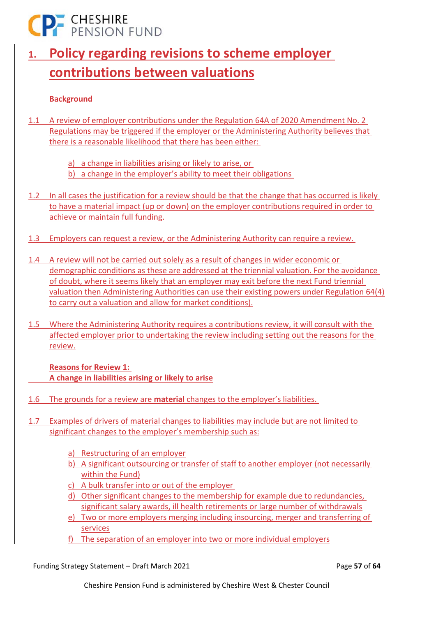### **CP-** CHESHIRE

### **1. Policy regarding revisions to scheme employer contributions between valuations**

### **Background**

- 1.1 A review of employer contributions under the Regulation 64A of 2020 Amendment No. 2 Regulations may be triggered if the employer or the Administering Authority believes that there is a reasonable likelihood that there has been either:
	- a) a change in liabilities arising or likely to arise, or
	- b) a change in the employer's ability to meet their obligations
- 1.2 In all cases the justification for a review should be that the change that has occurred is likely to have a material impact (up or down) on the employer contributions required in order to achieve or maintain full funding.
- 1.3 Employers can request a review, or the Administering Authority can require a review.
- 1.4 A review will not be carried out solely as a result of changes in wider economic or demographic conditions as these are addressed at the triennial valuation. For the avoidance of doubt, where it seems likely that an employer may exit before the next Fund triennial valuation then Administering Authorities can use their existing powers under Regulation 64(4) to carry out a valuation and allow for market conditions).
- 1.5 Where the Administering Authority requires a contributions review, it will consult with the affected employer prior to undertaking the review including setting out the reasons for the review.

**Reasons for Review 1: A change in liabilities arising or likely to arise** 

- 1.6 The grounds for a review are **material** changes to the employer's liabilities.
- 1.7 Examples of drivers of material changes to liabilities may include but are not limited to significant changes to the employer's membership such as:
	- a) Restructuring of an employer
	- b) A significant outsourcing or transfer of staff to another employer (not necessarily within the Fund)
	- c) A bulk transfer into or out of the employer
	- d) Other significant changes to the membership for example due to redundancies, significant salary awards, ill health retirements or large number of withdrawals
	- e) Two or more employers merging including insourcing, merger and transferring of services
	- f) The separation of an employer into two or more individual employers

Funding Strategy Statement – Draft March 2021 Page **57** of **64**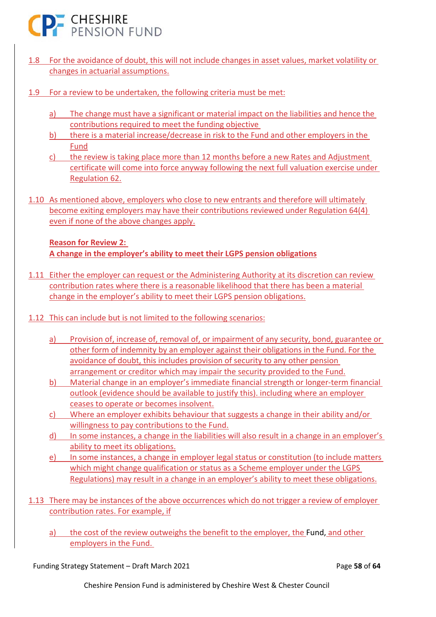

- 1.8 For the avoidance of doubt, this will not include changes in asset values, market volatility or changes in actuarial assumptions.
- 1.9 For a review to be undertaken, the following criteria must be met:
	- a) The change must have a significant or material impact on the liabilities and hence the contributions required to meet the funding objective
	- b) there is a material increase/decrease in risk to the Fund and other employers in the Fund
	- c) the review is taking place more than 12 months before a new Rates and Adjustment certificate will come into force anyway following the next full valuation exercise under Regulation 62.
- 1.10 As mentioned above, employers who close to new entrants and therefore will ultimately become exiting employers may have their contributions reviewed under Regulation 64(4) even if none of the above changes apply.

### **Reason for Review 2: A change in the employer's ability to meet their LGPS pension obligations**

- 1.11 Either the employer can request or the Administering Authority at its discretion can review contribution rates where there is a reasonable likelihood that there has been a material change in the employer's ability to meet their LGPS pension obligations.
- 1.12 This can include but is not limited to the following scenarios:
	- a) Provision of, increase of, removal of, or impairment of any security, bond, guarantee or other form of indemnity by an employer against their obligations in the Fund. For the avoidance of doubt, this includes provision of security to any other pension arrangement or creditor which may impair the security provided to the Fund.
	- b) Material change in an employer's immediate financial strength or longer‐term financial outlook (evidence should be available to justify this). including where an employer ceases to operate or becomes insolvent.
	- c) Where an employer exhibits behaviour that suggests a change in their ability and/or willingness to pay contributions to the Fund.
	- d) In some instances, a change in the liabilities will also result in a change in an employer's ability to meet its obligations.
	- e) In some instances, a change in employer legal status or constitution (to include matters which might change qualification or status as a Scheme employer under the LGPS Regulations) may result in a change in an employer's ability to meet these obligations.
- 1.13 There may be instances of the above occurrences which do not trigger a review of employer contribution rates. For example, if
	- a) the cost of the review outweighs the benefit to the employer, the Fund, and other employers in the Fund.

Funding Strategy Statement – Draft March 2021 Page **58** of **64**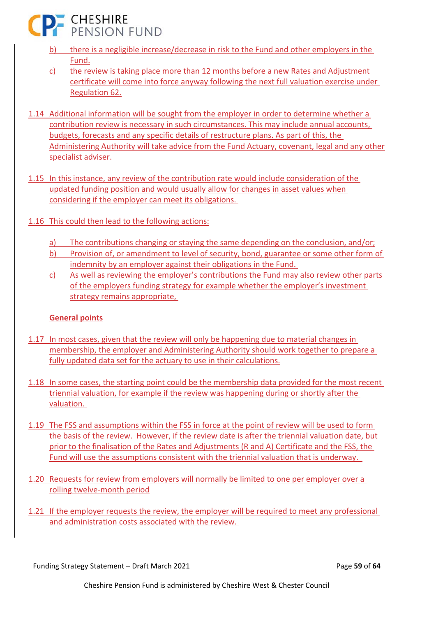**CP- CHESHIRE** 

- b) there is a negligible increase/decrease in risk to the Fund and other employers in the Fund.
- c) the review is taking place more than 12 months before a new Rates and Adjustment certificate will come into force anyway following the next full valuation exercise under Regulation 62.
- 1.14 Additional information will be sought from the employer in order to determine whether a contribution review is necessary in such circumstances. This may include annual accounts, budgets, forecasts and any specific details of restructure plans. As part of this, the Administering Authority will take advice from the Fund Actuary, covenant, legal and any other specialist adviser.
- 1.15 In this instance, any review of the contribution rate would include consideration of the updated funding position and would usually allow for changes in asset values when considering if the employer can meet its obligations.
- 1.16 This could then lead to the following actions:
	- a) The contributions changing or staying the same depending on the conclusion, and/or;
	- b) Provision of, or amendment to level of security, bond, guarantee or some other form of indemnity by an employer against their obligations in the Fund.
	- c) As well as reviewing the employer's contributions the Fund may also review other parts of the employers funding strategy for example whether the employer's investment strategy remains appropriate,

### **General points**

- 1.17 In most cases, given that the review will only be happening due to material changes in membership, the employer and Administering Authority should work together to prepare a fully updated data set for the actuary to use in their calculations.
- 1.18 In some cases, the starting point could be the membership data provided for the most recent triennial valuation, for example if the review was happening during or shortly after the valuation.
- 1.19 The FSS and assumptions within the FSS in force at the point of review will be used to form the basis of the review. However, if the review date is after the triennial valuation date, but prior to the finalisation of the Rates and Adjustments (R and A) Certificate and the FSS, the Fund will use the assumptions consistent with the triennial valuation that is underway.
- 1.20 Requests for review from employers will normally be limited to one per employer over a rolling twelve‐month period
- 1.21 If the employer requests the review, the employer will be required to meet any professional and administration costs associated with the review.

Funding Strategy Statement – Draft March 2021 Page **59** of **64**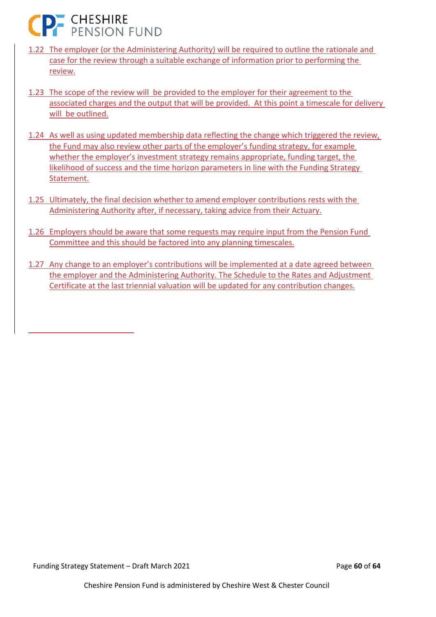

- 1.22 The employer (or the Administering Authority) will be required to outline the rationale and case for the review through a suitable exchange of information prior to performing the review.
- 1.23 The scope of the review will be provided to the employer for their agreement to the associated charges and the output that will be provided. At this point a timescale for delivery will be outlined.
- 1.24 As well as using updated membership data reflecting the change which triggered the review, the Fund may also review other parts of the employer's funding strategy, for example whether the employer's investment strategy remains appropriate, funding target, the likelihood of success and the time horizon parameters in line with the Funding Strategy Statement.
- 1.25 Ultimately, the final decision whether to amend employer contributions rests with the Administering Authority after, if necessary, taking advice from their Actuary.
- 1.26 Employers should be aware that some requests may require input from the Pension Fund Committee and this should be factored into any planning timescales.
- 1.27 Any change to an employer's contributions will be implemented at a date agreed between the employer and the Administering Authority. The Schedule to the Rates and Adjustment Certificate at the last triennial valuation will be updated for any contribution changes.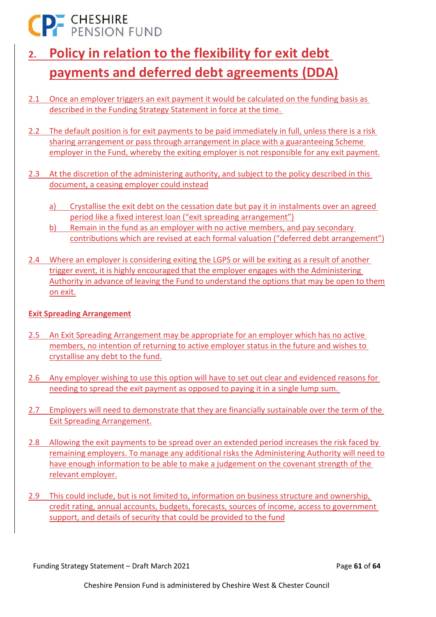CP- CHESHIRE<br>
PENSION FUND

- **2. Policy in relation to the flexibility for exit debt payments and deferred debt agreements (DDA)**
- 2.1 Once an employer triggers an exit payment it would be calculated on the funding basis as described in the Funding Strategy Statement in force at the time.
- 2.2 The default position is for exit payments to be paid immediately in full, unless there is a risk sharing arrangement or pass through arrangement in place with a guaranteeing Scheme employer in the Fund, whereby the exiting employer is not responsible for any exit payment.

2.3 At the discretion of the administering authority, and subject to the policy described in this document, a ceasing employer could instead

- a) Crystallise the exit debt on the cessation date but pay it in instalments over an agreed period like a fixed interest loan ("exit spreading arrangement")
- b) Remain in the fund as an employer with no active members, and pay secondary contributions which are revised at each formal valuation ("deferred debt arrangement")
- 2.4 Where an employer is considering exiting the LGPS or will be exiting as a result of another trigger event, it is highly encouraged that the employer engages with the Administering Authority in advance of leaving the Fund to understand the options that may be open to them on exit.

### **Exit Spreading Arrangement**

- 2.5 An Exit Spreading Arrangement may be appropriate for an employer which has no active members, no intention of returning to active employer status in the future and wishes to crystallise any debt to the fund.
- 2.6 Any employer wishing to use this option will have to set out clear and evidenced reasons for needing to spread the exit payment as opposed to paying it in a single lump sum.
- 2.7 Employers will need to demonstrate that they are financially sustainable over the term of the Exit Spreading Arrangement.
- 2.8 Allowing the exit payments to be spread over an extended period increases the risk faced by remaining employers. To manage any additional risks the Administering Authority will need to have enough information to be able to make a judgement on the covenant strength of the relevant employer.
- 2.9 This could include, but is not limited to, information on business structure and ownership, credit rating, annual accounts, budgets, forecasts, sources of income, access to government support, and details of security that could be provided to the fund

Funding Strategy Statement – Draft March 2021 Page **61** of **64**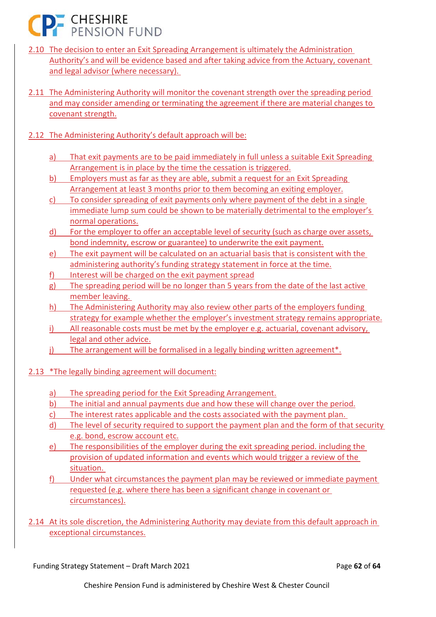**CP- CHESHIRE** 

- 2.10 The decision to enter an Exit Spreading Arrangement is ultimately the Administration Authority's and will be evidence based and after taking advice from the Actuary, covenant and legal advisor (where necessary).
- 2.11 The Administering Authority will monitor the covenant strength over the spreading period and may consider amending or terminating the agreement if there are material changes to covenant strength.
- 2.12 The Administering Authority's default approach will be:
	- a) That exit payments are to be paid immediately in full unless a suitable Exit Spreading Arrangement is in place by the time the cessation is triggered.
	- b) Employers must as far as they are able, submit a request for an Exit Spreading Arrangement at least 3 months prior to them becoming an exiting employer.
	- c) To consider spreading of exit payments only where payment of the debt in a single immediate lump sum could be shown to be materially detrimental to the employer's normal operations.
	- d) For the employer to offer an acceptable level of security (such as charge over assets, bond indemnity, escrow or guarantee) to underwrite the exit payment.
	- e) The exit payment will be calculated on an actuarial basis that is consistent with the administering authority's funding strategy statement in force at the time.
	- f) Interest will be charged on the exit payment spread
	- g) The spreading period will be no longer than 5 years from the date of the last active member leaving.
	- h) The Administering Authority may also review other parts of the employers funding strategy for example whether the employer's investment strategy remains appropriate.
	- i) All reasonable costs must be met by the employer e.g. actuarial, covenant advisory, legal and other advice.
	- j) The arrangement will be formalised in a legally binding written agreement\*.
- 2.13 \*The legally binding agreement will document:
	- a) The spreading period for the Exit Spreading Arrangement.
	- b) The initial and annual payments due and how these will change over the period.
	- c) The interest rates applicable and the costs associated with the payment plan.
	- d) The level of security required to support the payment plan and the form of that security e.g. bond, escrow account etc.
	- e) The responsibilities of the employer during the exit spreading period. including the provision of updated information and events which would trigger a review of the situation.
	- f) Under what circumstances the payment plan may be reviewed or immediate payment requested (e.g. where there has been a significant change in covenant or circumstances).
- 2.14 At its sole discretion, the Administering Authority may deviate from this default approach in exceptional circumstances.

Funding Strategy Statement – Draft March 2021 Page **62** of **64**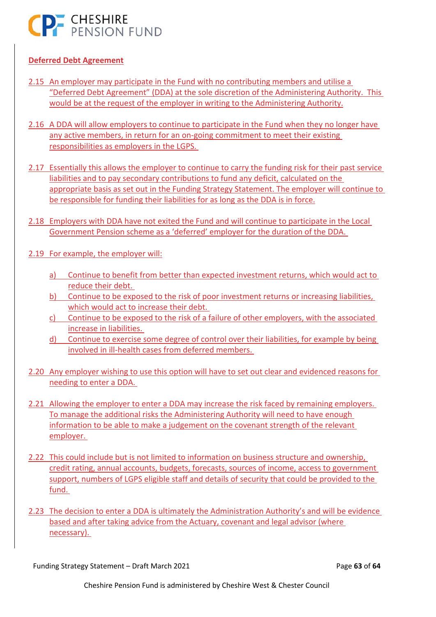

### **Deferred Debt Agreement**

- 2.15 An employer may participate in the Fund with no contributing members and utilise a "Deferred Debt Agreement" (DDA) at the sole discretion of the Administering Authority. This would be at the request of the employer in writing to the Administering Authority.
- 2.16 A DDA will allow employers to continue to participate in the Fund when they no longer have any active members, in return for an on‐going commitment to meet their existing responsibilities as employers in the LGPS.
- 2.17 Essentially this allows the employer to continue to carry the funding risk for their past service liabilities and to pay secondary contributions to fund any deficit, calculated on the appropriate basis as set out in the Funding Strategy Statement. The employer will continue to be responsible for funding their liabilities for as long as the DDA is in force.
- 2.18 Employers with DDA have not exited the Fund and will continue to participate in the Local Government Pension scheme as a 'deferred' employer for the duration of the DDA.
- 2.19 For example, the employer will:
	- a) Continue to benefit from better than expected investment returns, which would act to reduce their debt.
	- b) Continue to be exposed to the risk of poor investment returns or increasing liabilities, which would act to increase their debt.
	- c) Continue to be exposed to the risk of a failure of other employers, with the associated increase in liabilities.
	- d) Continue to exercise some degree of control over their liabilities, for example by being involved in ill‐health cases from deferred members.
- 2.20 Any employer wishing to use this option will have to set out clear and evidenced reasons for needing to enter a DDA.
- 2.21 Allowing the employer to enter a DDA may increase the risk faced by remaining employers. To manage the additional risks the Administering Authority will need to have enough information to be able to make a judgement on the covenant strength of the relevant employer.
- 2.22 This could include but is not limited to information on business structure and ownership, credit rating, annual accounts, budgets, forecasts, sources of income, access to government support, numbers of LGPS eligible staff and details of security that could be provided to the fund.
- 2.23 The decision to enter a DDA is ultimately the Administration Authority's and will be evidence based and after taking advice from the Actuary, covenant and legal advisor (where necessary).

Funding Strategy Statement – Draft March 2021 Page **63** of **64**